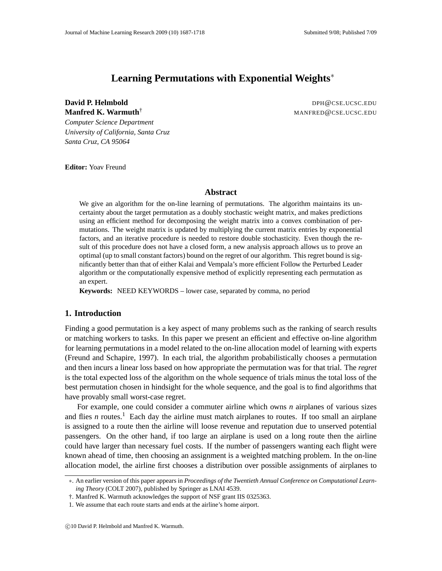# **Learning Permutations with Exponential Weights**∗

**David P. Helmbold** DPH@CSE.UCSC.EDU

**Manfred K. Warmuth<sup>†</sup> Manguing Manguing Manguing Manguing Manguing Manguing Manguing Manguing Manguing Manguing M** 

*Computer Science Department University of California, Santa Cruz Santa Cruz, CA 95064*

**Editor:** Yoav Freund

#### **Abstract**

We give an algorithm for the on-line learning of permutations. The algorithm maintains its uncertainty about the target permutation as a doubly stochastic weight matrix, and makes predictions using an efficient method for decomposing the weight matrix into a convex combination of permutations. The weight matrix is updated by multiplying the current matrix entries by exponential factors, and an iterative procedure is needed to restore double stochasticity. Even though the result of this procedure does not have a closed form, a new analysis approach allows us to prove an optimal (up to small constant factors) bound on the regret of our algorithm. This regret bound is significantly better than that of either Kalai and Vempala's more efficient Follow the Perturbed Leader algorithm or the computationally expensive method of explicitly representing each permutation as an expert.

**Keywords:** NEED KEYWORDS – lower case, separated by comma, no period

# **1. Introduction**

Finding a good permutation is a key aspect of many problems such as the ranking of search results or matching workers to tasks. In this paper we present an efficient and effective on-line algorithm for learning permutations in a model related to the on-line allocation model of learning with experts (Freund and Schapire, 1997). In each trial, the algorithm probabilistically chooses a permutation and then incurs a linear loss based on how appropriate the permutation was for that trial. The *regret* is the total expected loss of the algorithm on the whole sequence of trials minus the total loss of the best permutation chosen in hindsight for the whole sequence, and the goal is to find algorithms that have provably small worst-case regret.

For example, one could consider a commuter airline which owns *n* airplanes of various sizes and flies *n* routes.<sup>1</sup> Each day the airline must match airplanes to routes. If too small an airplane is assigned to a route then the airline will loose revenue and reputation due to unserved potential passengers. On the other hand, if too large an airplane is used on a long route then the airline could have larger than necessary fuel costs. If the number of passengers wanting each flight were known ahead of time, then choosing an assignment is a weighted matching problem. In the on-line allocation model, the airline first chooses a distribution over possible assignments of airplanes to

<sup>∗</sup>. An earlier version of this paper appears in *Proceedings of the Twentieth Annual Conference on Computational Learning Theory* (COLT 2007), published by Springer as LNAI 4539.

<sup>†.</sup> Manfred K. Warmuth acknowledges the support of NSF grant IIS 0325363.

<sup>1.</sup> We assume that each route starts and ends at the airline's home airport.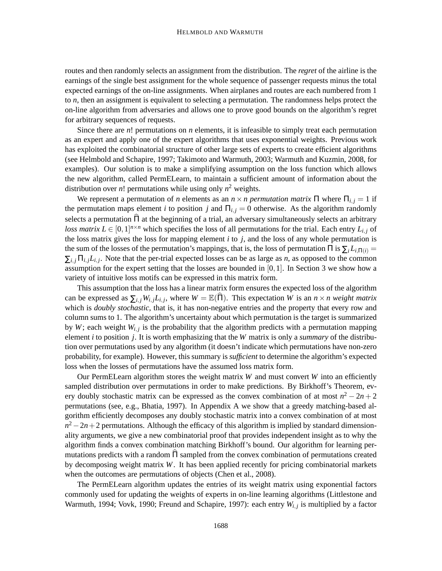routes and then randomly selects an assignment from the distribution. The *regret* of the airline is the earnings of the single best assignment for the whole sequence of passenger requests minus the total expected earnings of the on-line assignments. When airplanes and routes are each numbered from 1 to *n*, then an assignment is equivalent to selecting a permutation. The randomness helps protect the on-line algorithm from adversaries and allows one to prove good bounds on the algorithm's regret for arbitrary sequences of requests.

Since there are *n*! permutations on *n* elements, it is infeasible to simply treat each permutation as an expert and apply one of the expert algorithms that uses exponential weights. Previous work has exploited the combinatorial structure of other large sets of experts to create efficient algorithms (see Helmbold and Schapire, 1997; Takimoto and Warmuth, 2003; Warmuth and Kuzmin, 2008, for examples). Our solution is to make a simplifying assumption on the loss function which allows the new algorithm, called PermELearn, to maintain a sufficient amount of information about the distribution over *n*! permutations while using only  $n^2$  weights.

We represent a permutation of *n* elements as an  $n \times n$  permutation matrix  $\Pi$  where  $\Pi_{i,j} = 1$  if the permutation maps element *i* to position *j* and  $\Pi_{i,j} = 0$  otherwise. As the algorithm randomly selects a permutation  $\widehat{\Pi}$  at the beginning of a trial, an adversary simultaneously selects an arbitrary *loss matrix*  $L \in [0,1]^{n \times n}$  which specifies the loss of all permutations for the trial. Each entry  $L_{i,j}$  of the loss matrix gives the loss for mapping element *i* to *j*, and the loss of any whole permutation is the sum of the losses of the permutation's mappings, that is, the loss of permutation  $\Pi$  is  $\sum_i L_i \Pi(i) =$  $\sum_{i,j} \prod_{i,j} L_{i,j}$ . Note that the per-trial expected losses can be as large as *n*, as opposed to the common assumption for the expert setting that the losses are bounded in  $[0,1]$ . In Section 3 we show how a variety of intuitive loss motifs can be expressed in this matrix form.

This assumption that the loss has a linear matrix form ensures the expected loss of the algorithm can be expressed as  $\sum_{i,j} W_{i,j} L_{i,j}$ , where  $W = \mathbb{E}(\widehat{\Pi})$ . This expectation *W* is an  $n \times n$  weight matrix which is *doubly stochastic*, that is, it has non-negative entries and the property that every row and column sums to 1. The algorithm's uncertainty about which permutation is the target is summarized by  $W$ ; each weight  $W_{i,j}$  is the probability that the algorithm predicts with a permutation mapping element *i* to position *j*. It is worth emphasizing that the *W* matrix is only a *summary* of the distribution over permutations used by any algorithm (it doesn't indicate which permutations have non-zero probability, for example). However, this summary is *sufficient* to determine the algorithm's expected loss when the losses of permutations have the assumed loss matrix form.

Our PermELearn algorithm stores the weight matrix *W* and must convert *W* into an efficiently sampled distribution over permutations in order to make predictions. By Birkhoff's Theorem, every doubly stochastic matrix can be expressed as the convex combination of at most  $n^2 - 2n + 2$ permutations (see, e.g., Bhatia, 1997). In Appendix A we show that a greedy matching-based algorithm efficiently decomposes any doubly stochastic matrix into a convex combination of at most  $n^2 - 2n + 2$  permutations. Although the efficacy of this algorithm is implied by standard dimensionality arguments, we give a new combinatorial proof that provides independent insight as to why the algorithm finds a convex combination matching Birkhoff's bound. Our algorithm for learning permutations predicts with a random  $\Pi$  sampled from the convex combination of permutations created by decomposing weight matrix *W*. It has been applied recently for pricing combinatorial markets when the outcomes are permutations of objects (Chen et al., 2008).

The PermELearn algorithm updates the entries of its weight matrix using exponential factors commonly used for updating the weights of experts in on-line learning algorithms (Littlestone and Warmuth, 1994; Vovk, 1990; Freund and Schapire, 1997): each entry  $W_{i,j}$  is multiplied by a factor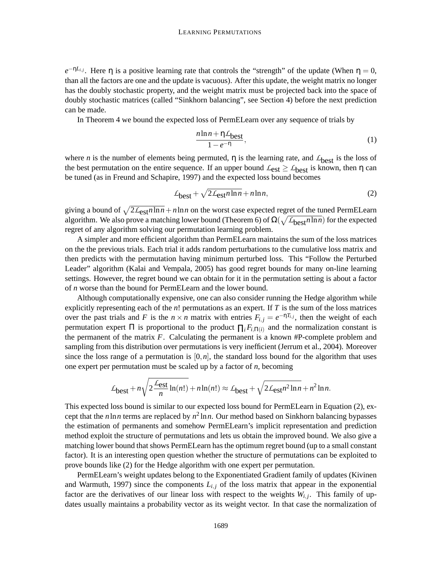$e^{-\eta L_{i,j}}$ . Here  $\eta$  is a positive learning rate that controls the "strength" of the update (When  $\eta = 0$ , than all the factors are one and the update is vacuous). After this update, the weight matrix no longer has the doubly stochastic property, and the weight matrix must be projected back into the space of doubly stochastic matrices (called "Sinkhorn balancing", see Section 4) before the next prediction can be made.

In Theorem 4 we bound the expected loss of PermELearn over any sequence of trials by

$$
\frac{n\ln n + \eta \mathcal{L}_{best}}{1 - e^{-\eta}},\tag{1}
$$

where *n* is the number of elements being permuted,  $\eta$  is the learning rate, and  $L_{\text{best}}$  is the loss of the best permutation on the entire sequence. If an upper bound  $\mathcal{L}_{est} \geq \mathcal{L}_{best}$  is known, then  $\eta$  can be tuned (as in Freund and Schapire, 1997) and the expected loss bound becomes

$$
\mathcal{L}_{\text{best}} + \sqrt{2\mathcal{L}_{\text{est}}n\ln n} + n\ln n,\tag{2}
$$

giving a bound of  $\sqrt{2\mathcal{L}_{est}n\ln n}+n\ln n$  on the worst case expected regret of the tuned PermELearn algorithm. We also prove a matching lower bound (Theorem 6) of  $\Omega(\sqrt{L_{best} n \ln n})$  for the expected regret of any algorithm solving our permutation learning problem.

A simpler and more efficient algorithm than PermELearn maintains the sum of the loss matrices on the the previous trials. Each trial it adds random perturbations to the cumulative loss matrix and then predicts with the permutation having minimum perturbed loss. This "Follow the Perturbed Leader" algorithm (Kalai and Vempala, 2005) has good regret bounds for many on-line learning settings. However, the regret bound we can obtain for it in the permutation setting is about a factor of *n* worse than the bound for PermELearn and the lower bound.

Although computationally expensive, one can also consider running the Hedge algorithm while explicitly representing each of the *n*! permutations as an expert. If *T* is the sum of the loss matrices over the past trials and *F* is the  $n \times n$  matrix with entries  $F_{i,j} = e^{-\eta T_{i,j}}$ , then the weight of each permutation expert  $\Pi$  is proportional to the product  $\Pi_i F_{i,\Pi(i)}$  and the normalization constant is the permanent of the matrix *F*. Calculating the permanent is a known #P-complete problem and sampling from this distribution over permutations is very inefficient (Jerrum et al., 2004). Moreover since the loss range of a permutation is  $[0, n]$ , the standard loss bound for the algorithm that uses one expert per permutation must be scaled up by a factor of *n*, becoming

$$
\mathcal{L}_{\text{best}} + n \sqrt{2 \frac{\mathcal{L}_{\text{est}}}{n} \ln(n!)} + n \ln(n!) \approx \mathcal{L}_{\text{best}} + \sqrt{2 \mathcal{L}_{\text{est}} n^2 \ln n} + n^2 \ln n.
$$

This expected loss bound is similar to our expected loss bound for PermELearn in Equation (2), except that the  $n \ln n$  terms are replaced by  $n^2 \ln n$ . Our method based on Sinkhorn balancing bypasses the estimation of permanents and somehow PermELearn's implicit representation and prediction method exploit the structure of permutations and lets us obtain the improved bound. We also give a matching lower bound that shows PermELearn has the optimum regret bound (up to a small constant factor). It is an interesting open question whether the structure of permutations can be exploited to prove bounds like (2) for the Hedge algorithm with one expert per permutation.

PermELearn's weight updates belong to the Exponentiated Gradient family of updates (Kivinen and Warmuth, 1997) since the components  $L_{i,j}$  of the loss matrix that appear in the exponential factor are the derivatives of our linear loss with respect to the weights  $W_{i,j}$ . This family of updates usually maintains a probability vector as its weight vector. In that case the normalization of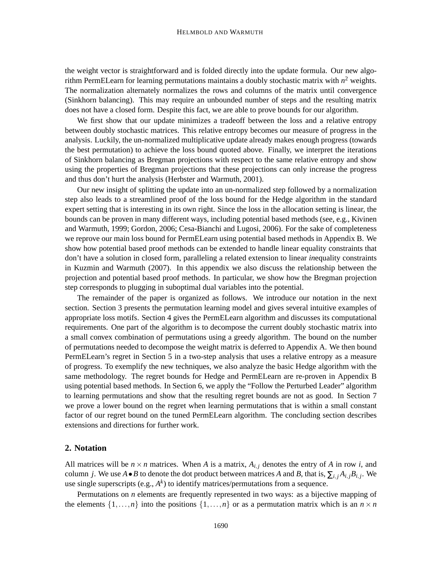the weight vector is straightforward and is folded directly into the update formula. Our new algorithm PermELearn for learning permutations maintains a doubly stochastic matrix with  $n^2$  weights. The normalization alternately normalizes the rows and columns of the matrix until convergence (Sinkhorn balancing). This may require an unbounded number of steps and the resulting matrix does not have a closed form. Despite this fact, we are able to prove bounds for our algorithm.

We first show that our update minimizes a tradeoff between the loss and a relative entropy between doubly stochastic matrices. This relative entropy becomes our measure of progress in the analysis. Luckily, the un-normalized multiplicative update already makes enough progress (towards the best permutation) to achieve the loss bound quoted above. Finally, we interpret the iterations of Sinkhorn balancing as Bregman projections with respect to the same relative entropy and show using the properties of Bregman projections that these projections can only increase the progress and thus don't hurt the analysis (Herbster and Warmuth, 2001).

Our new insight of splitting the update into an un-normalized step followed by a normalization step also leads to a streamlined proof of the loss bound for the Hedge algorithm in the standard expert setting that is interesting in its own right. Since the loss in the allocation setting is linear, the bounds can be proven in many different ways, including potential based methods (see, e.g., Kivinen and Warmuth, 1999; Gordon, 2006; Cesa-Bianchi and Lugosi, 2006). For the sake of completeness we reprove our main loss bound for PermELearn using potential based methods in Appendix B. We show how potential based proof methods can be extended to handle linear equality constraints that don't have a solution in closed form, paralleling a related extension to linear *in*equality constraints in Kuzmin and Warmuth (2007). In this appendix we also discuss the relationship between the projection and potential based proof methods. In particular, we show how the Bregman projection step corresponds to plugging in suboptimal dual variables into the potential.

The remainder of the paper is organized as follows. We introduce our notation in the next section. Section 3 presents the permutation learning model and gives several intuitive examples of appropriate loss motifs. Section 4 gives the PermELearn algorithm and discusses its computational requirements. One part of the algorithm is to decompose the current doubly stochastic matrix into a small convex combination of permutations using a greedy algorithm. The bound on the number of permutations needed to decompose the weight matrix is deferred to Appendix A. We then bound PermELearn's regret in Section 5 in a two-step analysis that uses a relative entropy as a measure of progress. To exemplify the new techniques, we also analyze the basic Hedge algorithm with the same methodology. The regret bounds for Hedge and PermELearn are re-proven in Appendix B using potential based methods. In Section 6, we apply the "Follow the Perturbed Leader" algorithm to learning permutations and show that the resulting regret bounds are not as good. In Section 7 we prove a lower bound on the regret when learning permutations that is within a small constant factor of our regret bound on the tuned PermELearn algorithm. The concluding section describes extensions and directions for further work.

# **2. Notation**

All matrices will be  $n \times n$  matrices. When *A* is a matrix,  $A_{i,j}$  denotes the entry of *A* in row *i*, and column *j*. We use  $A \bullet B$  to denote the dot product between matrices *A* and *B*, that is,  $\sum_{i,j} A_{i,j} B_{i,j}$ . We use single superscripts (e.g.,  $A<sup>k</sup>$ ) to identify matrices/permutations from a sequence.

Permutations on *n* elements are frequently represented in two ways: as a bijective mapping of the elements  $\{1,\ldots,n\}$  into the positions  $\{1,\ldots,n\}$  or as a permutation matrix which is an  $n \times n$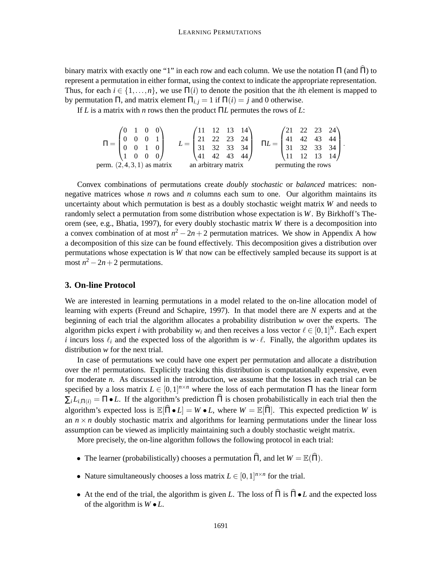binary matrix with exactly one "1" in each row and each column. We use the notation  $\Pi$  (and  $\widehat{\Pi}$ ) to represent a permutation in either format, using the context to indicate the appropriate representation. Thus, for each  $i \in \{1, \ldots, n\}$ , we use  $\Pi(i)$  to denote the position that the *i*th element is mapped to by permutation Π, and matrix element  $\Pi_{i,j} = 1$  if  $\Pi(i) = j$  and 0 otherwise.

If *L* is a matrix with *n* rows then the product Π*L* permutes the rows of *L*:

$$
\Pi = \begin{pmatrix} 0 & 1 & 0 & 0 \\ 0 & 0 & 0 & 1 \\ 0 & 0 & 1 & 0 \\ 1 & 0 & 0 & 0 \end{pmatrix} \qquad L = \begin{pmatrix} 11 & 12 & 13 & 14 \\ 21 & 22 & 23 & 24 \\ 31 & 32 & 33 & 34 \\ 41 & 42 & 43 & 44 \end{pmatrix} \quad \Pi L = \begin{pmatrix} 21 & 22 & 23 & 24 \\ 41 & 42 & 43 & 44 \\ 31 & 32 & 33 & 34 \\ 11 & 12 & 13 & 14 \end{pmatrix}.
$$
perm. (2, 4, 3, 1) as matrix

Convex combinations of permutations create *doubly stochastic* or *balanced* matrices: nonnegative matrices whose *n* rows and *n* columns each sum to one. Our algorithm maintains its uncertainty about which permutation is best as a doubly stochastic weight matrix *W* and needs to randomly select a permutation from some distribution whose expectation is *W*. By Birkhoff's Theorem (see, e.g., Bhatia, 1997), for every doubly stochastic matrix *W* there is a decomposition into a convex combination of at most  $n^2 - 2n + 2$  permutation matrices. We show in Appendix A how a decomposition of this size can be found effectively. This decomposition gives a distribution over permutations whose expectation is *W* that now can be effectively sampled because its support is at most  $n^2 - 2n + 2$  permutations.

# **3. On-line Protocol**

We are interested in learning permutations in a model related to the on-line allocation model of learning with experts (Freund and Schapire, 1997). In that model there are *N* experts and at the beginning of each trial the algorithm allocates a probability distribution *w* over the experts. The algorithm picks expert *i* with probability  $w_i$  and then receives a loss vector  $\ell \in [0,1]^N$ . Each expert *i* incurs loss  $\ell_i$  and the expected loss of the algorithm is  $w \cdot \ell$ . Finally, the algorithm updates its distribution *w* for the next trial.

In case of permutations we could have one expert per permutation and allocate a distribution over the *n*! permutations. Explicitly tracking this distribution is computationally expensive, even for moderate *n*. As discussed in the introduction, we assume that the losses in each trial can be specified by a loss matrix  $L \in [0,1]^{n \times n}$  where the loss of each permutation  $\Pi$  has the linear form  $\sum_i L_{i,\Pi(i)} = \Pi \bullet L$ . If the algorithm's prediction  $\Pi$  is chosen probabilistically in each trial then the algorithm's expected loss is  $\mathbb{E}[\hat{\Pi} \bullet L] = W \bullet L$ , where  $W = \mathbb{E}[\hat{\Pi}]$ . This expected prediction *W* is an  $n \times n$  doubly stochastic matrix and algorithms for learning permutations under the linear loss assumption can be viewed as implicitly maintaining such a doubly stochastic weight matrix.

More precisely, the on-line algorithm follows the following protocol in each trial:

- The learner (probabilistically) chooses a permutation  $\hat{\Pi}$ , and let  $W = \mathbb{E}(\hat{\Pi})$ .
- Nature simultaneously chooses a loss matrix  $L \in [0,1]^{n \times n}$  for the trial.
- At the end of the trial, the algorithm is given *L*. The loss of  $\hat{\Pi}$  is  $\hat{\Pi} \cdot L$  and the expected loss of the algorithm is *W* •*L*.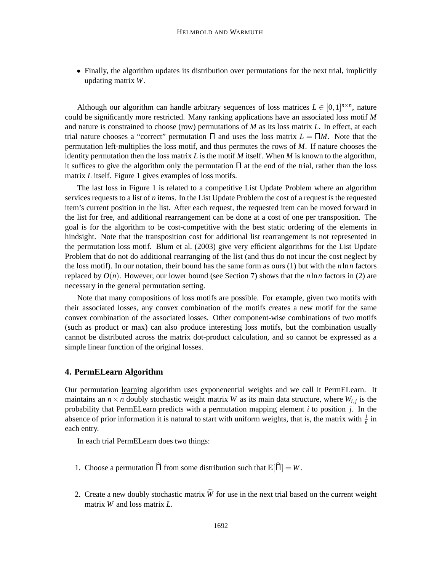• Finally, the algorithm updates its distribution over permutations for the next trial, implicitly updating matrix *W*.

Although our algorithm can handle arbitrary sequences of loss matrices  $L \in [0,1]^{n \times n}$ , nature could be significantly more restricted. Many ranking applications have an associated loss motif *M* and nature is constrained to choose (row) permutations of *M* as its loss matrix *L*. In effect, at each trial nature chooses a "correct" permutation  $\Pi$  and uses the loss matrix  $L = \Pi M$ . Note that the permutation left-multiplies the loss motif, and thus permutes the rows of *M*. If nature chooses the identity permutation then the loss matrix  $L$  is the motif  $M$  itself. When  $M$  is known to the algorithm, it suffices to give the algorithm only the permutation Π at the end of the trial, rather than the loss matrix *L* itself. Figure 1 gives examples of loss motifs.

The last loss in Figure 1 is related to a competitive List Update Problem where an algorithm services requests to a list of *n* items. In the List Update Problem the cost of a request is the requested item's current position in the list. After each request, the requested item can be moved forward in the list for free, and additional rearrangement can be done at a cost of one per transposition. The goal is for the algorithm to be cost-competitive with the best static ordering of the elements in hindsight. Note that the transposition cost for additional list rearrangement is not represented in the permutation loss motif. Blum et al. (2003) give very efficient algorithms for the List Update Problem that do not do additional rearranging of the list (and thus do not incur the cost neglect by the loss motif). In our notation, their bound has the same form as ours (1) but with the *n*ln*n* factors replaced by  $O(n)$ . However, our lower bound (see Section 7) shows that the *n*ln *n* factors in (2) are necessary in the general permutation setting.

Note that many compositions of loss motifs are possible. For example, given two motifs with their associated losses, any convex combination of the motifs creates a new motif for the same convex combination of the associated losses. Other component-wise combinations of two motifs (such as product or max) can also produce interesting loss motifs, but the combination usually cannot be distributed across the matrix dot-product calculation, and so cannot be expressed as a simple linear function of the original losses.

## **4. PermELearn Algorithm**

Our permutation learning algorithm uses exponenential weights and we call it PermELearn. It maintains an  $n \times n$  doubly stochastic weight matrix *W* as its main data structure, where  $W_{i,j}$  is the probability that PermELearn predicts with a permutation mapping element *i* to position *j*. In the absence of prior information it is natural to start with uniform weights, that is, the matrix with  $\frac{1}{n}$  in each entry.

In each trial PermELearn does two things:

- 1. Choose a permutation  $\hat{\Pi}$  from some distribution such that  $\mathbb{E}[\hat{\Pi}] = W$ .
- 2. Create a new doubly stochastic matrix  $\widetilde{W}$  for use in the next trial based on the current weight matrix *W* and loss matrix *L*.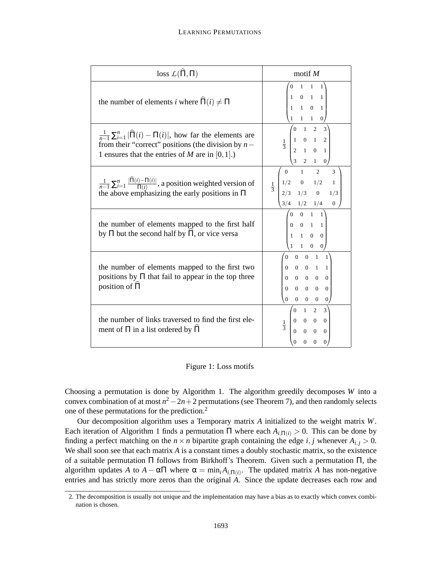| loss $\mathcal{L}(\widehat{\Pi},\Pi)$                                                                                                                                                             | motif $M$                                                                                                                                                                                                                          |
|---------------------------------------------------------------------------------------------------------------------------------------------------------------------------------------------------|------------------------------------------------------------------------------------------------------------------------------------------------------------------------------------------------------------------------------------|
| the number of elements <i>i</i> where $\hat{\Pi}(i) \neq \Pi$                                                                                                                                     | $\begin{matrix} 0 & 1 & 1 & 1 \end{matrix}$                                                                                                                                                                                        |
| $\frac{1}{n-1}\sum_{i=1}^n \widehat{\Pi}(i)-\Pi(i) $ , how far the elements are<br>from their "correct" positions (the division by $n-$<br>1 ensures that the entries of <i>M</i> are in [0, 1].) | $\begin{array}{c cccc}\n & 0 & 1 & 1 & 1 \\  & 1 & 0 & 1 & 1 \\  & 1 & 1 & 0 & 1 \\  & 1 & 1 & 1 & 0\n\end{array}$ $\frac{1}{3}\n\begin{pmatrix}\n0 & 1 & 2 & 3 \\ 1 & 0 & 1 & 2 \\ 2 & 1 & 0 & 1 \\ 3 & 2 & 1 & 0\n\end{pmatrix}$ |
| $\frac{1}{n-1}\sum_{i=1}^n \frac{ \widehat{\Pi}(i) - \Pi(i) }{\Pi(i)}$ , a position weighted version of<br>the above emphasizing the early positions in $\Pi$                                     | $\begin{pmatrix} 0 & 1 & 2 & 3 \\ 1/2 & 0 & 1/2 & 1 \\ 2/3 & 1/3 & 0 & 1/3 \end{pmatrix}$<br>$\frac{1}{3}$<br>$\frac{3}{4}$ 1/2 1/4<br>$\overline{0}$                                                                              |
| the number of elements mapped to the first half<br>by $\Pi$ but the second half by $\Pi$ , or vice versa                                                                                          | $\begin{pmatrix} 0 & 0 & 1 & 1 \\ 0 & 0 & 1 & 1 \\ 1 & 1 & 0 & 0 \end{pmatrix}$<br>$\frac{1}{\frac{1}{\sqrt{1-\frac{1}{2}}}$ 0 0                                                                                                   |
| the number of elements mapped to the first two<br>positions by $\Pi$ that fail to appear in the top three<br>position of $\hat{\Pi}$                                                              | $\begin{pmatrix} 0 & 0 & 0 & 1 & 1 \end{pmatrix}$<br>$\begin{array}{ccccccccc} 0 & 0 & 0 & 1 & 1 \\ 0 & 0 & 0 & 0 & 0 \\ 0 & 0 & 0 & 0 & 0 \end{array}$<br>$\begin{pmatrix} 0 & 0 & 0 & 0 \end{pmatrix}$<br>$\mathbf{0}$           |
| the number of links traversed to find the first ele-<br>ment of $\Pi$ in a list ordered by $\Pi$                                                                                                  | $\begin{pmatrix} 0 & 1 & 2 & 3 \\ 0 & 0 & 0 & 0 \\ 0 & 0 & 0 & 0 \end{pmatrix}$<br>$\frac{1}{3}$<br>$\Omega$<br>$\Omega$<br>$\Omega$                                                                                               |

### Figure 1: Loss motifs

Choosing a permutation is done by Algorithm 1. The algorithm greedily decomposes *W* into a convex combination of at most  $n^2-2n+2$  permutations (see Theorem 7), and then randomly selects one of these permutations for the prediction.<sup>2</sup>

Our decomposition algorithm uses a Temporary matrix *A* initialized to the weight matrix *W*. Each iteration of Algorithm 1 finds a permutation  $\Pi$  where each  $A_{i,\Pi(i)} > 0$ . This can be done by finding a perfect matching on the  $n \times n$  bipartite graph containing the edge *i*, *j* whenever  $A_{i,j} > 0$ . We shall soon see that each matrix *A* is a constant times a doubly stochastic matrix, so the existence of a suitable permutation Π follows from Birkhoff's Theorem. Given such a permutation Π, the algorithm updates *A* to  $A - \alpha \Pi$  where  $\alpha = \min_i A_{i,\Pi(i)}$ . The updated matrix *A* has non-negative entries and has strictly more zeros than the original *A*. Since the update decreases each row and

<sup>2.</sup> The decomposition is usually not unique and the implementation may have a bias as to exactly which convex combination is chosen.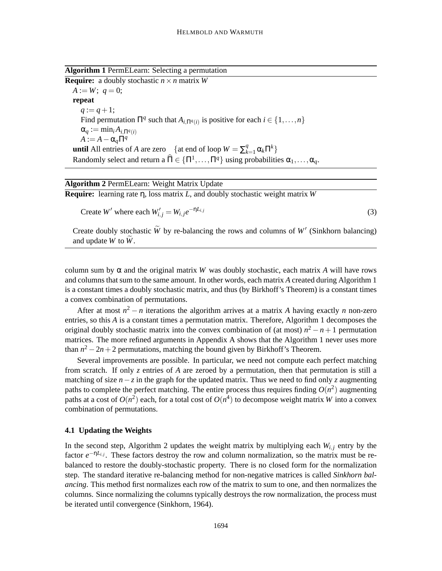**Algorithm 1** PermELearn: Selecting a permutation

**Require:** a doubly stochastic  $n \times n$  matrix *W*  $A := W$ ;  $q = 0$ ; **repeat**  $q := q + 1;$ Find permutation  $\Pi^q$  such that  $A_{i,\Pi^q(i)}$  is positive for each  $i \in \{1, ..., n\}$  $\alpha_q := \min_i A_{i, \Pi^q(i)}$  $A := A - \alpha_q \Pi^q$ **until** All entries of *A* are zero  $\left\{ \text{at end of loop } W = \sum_{k=1}^{q} \alpha_k \Pi^k \right\}$ Randomly select and return a  $\widehat{\Pi} \in \{\Pi^1, \ldots, \Pi^q\}$  using probabilities  $\alpha_1, \ldots, \alpha_q$ .

| <b>Algorithm 2 PermELearn: Weight Matrix Update</b>                                         |     |
|---------------------------------------------------------------------------------------------|-----|
| <b>Require:</b> learning rate $\eta$ , loss matrix L, and doubly stochastic weight matrix W |     |
| Create W' where each $W'_{i,j} = W_{i,j}e^{-\eta L_{i,j}}$                                  | (3) |

Create doubly stochastic *W* by re-balancing the rows and columns of *W'* (Sinkhorn balancing) and update  $W$  to  $W$ .

column sum by  $\alpha$  and the original matrix *W* was doubly stochastic, each matrix *A* will have rows and columns that sum to the same amount. In other words, each matrix *A* created during Algorithm 1 is a constant times a doubly stochastic matrix, and thus (by Birkhoff's Theorem) is a constant times a convex combination of permutations.

After at most  $n^2 - n$  iterations the algorithm arrives at a matrix *A* having exactly *n* non-zero entries, so this *A* is a constant times a permutation matrix. Therefore, Algorithm 1 decomposes the original doubly stochastic matrix into the convex combination of (at most)  $n^2 - n + 1$  permutation matrices. The more refined arguments in Appendix A shows that the Algorithm 1 never uses more than  $n^2 - 2n + 2$  permutations, matching the bound given by Birkhoff's Theorem.

Several improvements are possible. In particular, we need not compute each perfect matching from scratch. If only *z* entries of *A* are zeroed by a permutation, then that permutation is still a matching of size  $n-z$  in the graph for the updated matrix. Thus we need to find only *z* augmenting paths to complete the perfect matching. The entire process thus requires finding  $O(n^2)$  augmenting paths at a cost of  $O(n^2)$  each, for a total cost of  $O(n^4)$  to decompose weight matrix *W* into a convex combination of permutations.

#### **4.1 Updating the Weights**

In the second step, Algorithm 2 updates the weight matrix by multiplying each  $W_{i,i}$  entry by the factor  $e^{-\eta L_{i,j}}$ . These factors destroy the row and column normalization, so the matrix must be rebalanced to restore the doubly-stochastic property. There is no closed form for the normalization step. The standard iterative re-balancing method for non-negative matrices is called *Sinkhorn balancing*. This method first normalizes each row of the matrix to sum to one, and then normalizes the columns. Since normalizing the columns typically destroys the row normalization, the process must be iterated until convergence (Sinkhorn, 1964).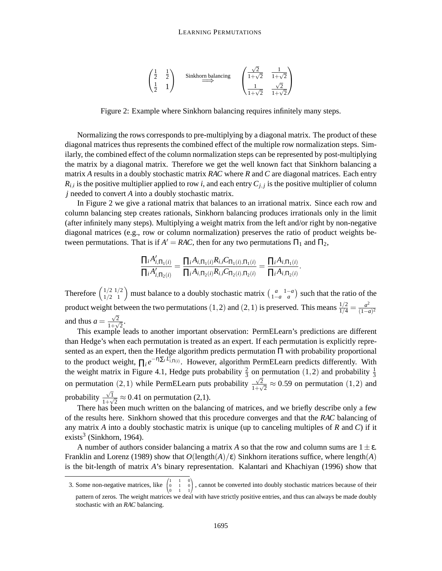

Figure 2: Example where Sinkhorn balancing requires infinitely many steps.

Normalizing the rows corresponds to pre-multiplying by a diagonal matrix. The product of these diagonal matrices thus represents the combined effect of the multiple row normalization steps. Similarly, the combined effect of the column normalization steps can be represented by post-multiplying the matrix by a diagonal matrix. Therefore we get the well known fact that Sinkhorn balancing a matrix *A* results in a doubly stochastic matrix *RAC* where *R* and *C* are diagonal matrices. Each entry  $R_{i,i}$  is the positive multiplier applied to row *i*, and each entry  $C_{j,j}$  is the positive multiplier of column *j* needed to convert *A* into a doubly stochastic matrix.

In Figure 2 we give a rational matrix that balances to an irrational matrix. Since each row and column balancing step creates rationals, Sinkhorn balancing produces irrationals only in the limit (after infinitely many steps). Multiplying a weight matrix from the left and/or right by non-negative diagonal matrices (e.g., row or column normalization) preserves the ratio of product weights between permutations. That is if  $A' = RAC$ , then for any two permutations  $\Pi_1$  and  $\Pi_2$ ,

$$
\frac{\prod_i A'_{i,\Pi_1(i)}}{\prod_i A'_{i,\Pi_2(i)}} = \frac{\prod_i A_{i,\Pi_1(i)} R_{i,i} C_{\Pi_1(i),\Pi_1(i)}}{\prod_i A_{i,\Pi_2(i)} R_{i,i} C_{\Pi_2(i),\Pi_2(i)}} = \frac{\prod_i A_{i,\Pi_1(i)}}{\prod_i A_{i,\Pi_2(i)}}.
$$

Therefore  $\binom{1/2}{1/2-1}$  must balance to a doubly stochastic matrix  $\binom{a}{1-a}$  such that the ratio of the product weight between the two permutations (1, 2) and (2, 1) is preserved. This means  $\frac{1/2}{1/4} = \frac{a^2}{(1-a)^2}$ (1−*a*) 2 and thus  $a = \frac{\sqrt{2}}{1 + \sqrt{2}}$  $\frac{\sqrt{2}}{1+\sqrt{2}}$ .

This example leads to another important observation: PermELearn's predictions are different than Hedge's when each permutation is treated as an expert. If each permutation is explicitly represented as an expert, then the Hedge algorithm predicts permutation Π with probability proportional to the product weight,  $\prod_i e^{-\eta \sum_i L_i^T}$ , However, algorithm PermELearn predicts differently. With the weight matrix in Figure 4.1, Hedge puts probability  $\frac{2}{3}$  on permutation (1,2) and probability  $\frac{1}{3}$ on permutation (2, 1) while PermELearn puts probability  $\frac{\sqrt{2}}{1+\sqrt{2}}$  $\frac{\sqrt{2}}{1+\sqrt{2}} \approx 0.59$  on permutation  $(1,2)$  and probability  $\frac{\sqrt{1}}{1+\sqrt{1}}$  $\frac{\sqrt{1}}{1+\sqrt{2}} \approx 0.41$  on permutation (2,1).

There has been much written on the balancing of matrices, and we briefly describe only a few of the results here. Sinkhorn showed that this procedure converges and that the *RAC* balancing of any matrix *A* into a doubly stochastic matrix is unique (up to canceling multiples of *R* and *C*) if it exists<sup>3</sup> (Sinkhorn, 1964).

A number of authors consider balancing a matrix *A* so that the row and column sums are  $1 \pm \varepsilon$ . Franklin and Lorenz (1989) show that  $O(\text{length}(A)/\epsilon)$  Sinkhorn iterations suffice, where length(*A*) is the bit-length of matrix *A*'s binary representation. Kalantari and Khachiyan (1996) show that

<sup>3.</sup> Some non-negative matrices, like  $($  $\mathbf{I}$  $\begin{array}{ccc} 1 & 1 & 0 \\ 0 & 1 & 0 \\ 0 & 1 & 1 \end{array}$ ), cannot be converted into doubly stochastic matrices because of their pattern of zeros. The weight matrices we deal with have strictly positive entries, and thus can always be made doubly stochastic with an *RAC* balancing.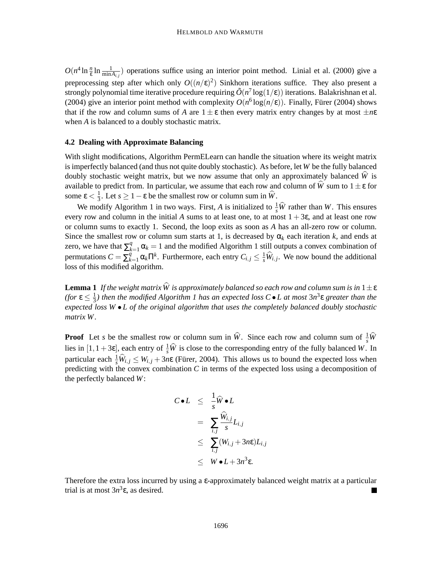$O(n^4 \ln \frac{n}{\epsilon} \ln \frac{1}{\min A_{i,j}})$  operations suffice using an interior point method. Linial et al. (2000) give a preprocessing step after which only  $O((n/\epsilon)^2)$  Sinkhorn iterations suffice. They also present a strongly polynomial time iterative procedure requiring  $\tilde{O}(n^7 \log(1/\epsilon))$  iterations. Balakrishnan et al. (2004) give an interior point method with complexity  $O(n^6 \log(n/\epsilon))$ . Finally, Fürer (2004) shows that if the row and column sums of *A* are  $1 \pm \varepsilon$  then every matrix entry changes by at most  $\pm n\varepsilon$ when *A* is balanced to a doubly stochastic matrix.

## **4.2 Dealing with Approximate Balancing**

With slight modifications, Algorithm PermELearn can handle the situation where its weight matrix is imperfectly balanced (and thus not quite doubly stochastic). As before, let *W* be the fully balanced doubly stochastic weight matrix, but we now assume that only an approximately balanced  $\hat{W}$  is available to predict from. In particular, we assume that each row and column of  $\hat{W}$  sum to  $1 \pm \varepsilon$  for some  $\epsilon < \frac{1}{3}$  $\frac{1}{3}$ . Let  $s \geq 1 - \varepsilon$  be the smallest row or column sum in *W*.

We modify Algorithm 1 in two ways. First, *A* is initialized to  $\frac{1}{s}\hat{W}$  rather than *W*. This ensures every row and column in the initial A sums to at least one, to at most  $1 + 3\varepsilon$ , and at least one row or column sums to exactly 1. Second, the loop exits as soon as *A* has an all-zero row or column. Since the smallest row or column sum starts at 1, is decreased by  $\alpha_k$  each iteration k, and ends at zero, we have that  $\sum_{k=1}^{q} \alpha_k = 1$  and the modified Algorithm 1 still outputs a convex combination of permutations  $C = \sum_{k=1}^{q} \alpha_k \Pi^k$ . Furthermore, each entry  $C_{i,j} \leq \frac{1}{s} \widehat{W}_{i,j}$ . We now bound the additional loss of this modified algorithm.

**Lemma 1** *If the weight matrix*  $\widehat{W}$  *is approximately balanced so each row and column sum is in*  $1 \pm \varepsilon$ *(for*  $\epsilon \leq \frac{1}{3}$ 3 *) then the modified Algorithm 1 has an expected loss C* • *L at most* 3*n* 3 ε *greater than the expected loss W* • *L of the original algorithm that uses the completely balanced doubly stochastic matrix W.*

**Proof** Let *s* be the smallest row or column sum in  $\hat{W}$ . Since each row and column sum of  $\frac{1}{s}\hat{W}$ lies in  $[1, 1+3\varepsilon]$ , each entry of  $\frac{1}{s}\hat{W}$  is close to the corresponding entry of the fully balanced *W*. In particular each  $\frac{1}{s}\hat{W}_{i,j} \leq W_{i,j} + 3n\varepsilon$  (Fürer, 2004). This allows us to bound the expected loss when predicting with the convex combination *C* in terms of the expected loss using a decomposition of the perfectly balanced *W*:

$$
C \bullet L \leq \frac{1}{s} \widehat{W} \bullet L
$$
  
= 
$$
\sum_{i,j} \frac{\widehat{W}_{i,j}}{s} L_{i,j}
$$
  

$$
\leq \sum_{i,j} (W_{i,j} + 3n\varepsilon) L_{i,j}
$$
  

$$
\leq W \bullet L + 3n^3 \varepsilon.
$$

Therefore the extra loss incurred by using a ε-approximately balanced weight matrix at a particular trial is at most  $3n^3 \varepsilon$ , as desired.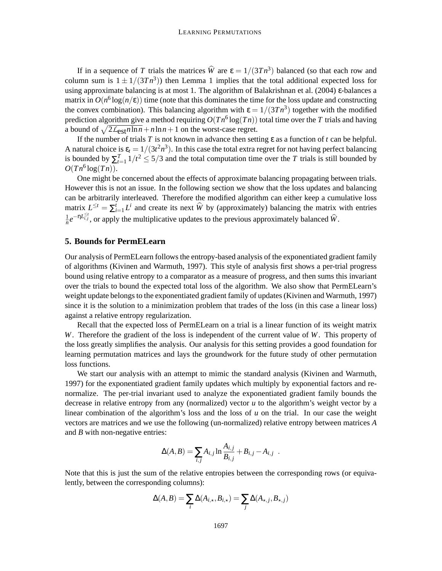If in a sequence of *T* trials the matrices  $\hat{W}$  are  $\epsilon = 1/(3Tn^3)$  balanced (so that each row and column sum is  $1 \pm 1/(3Tn^3)$ ) then Lemma 1 implies that the total additional expected loss for using approximate balancing is at most 1. The algorithm of Balakrishnan et al. (2004) ε-balances a matrix in  $O(n^6 \log(n/\epsilon))$  time (note that this dominates the time for the loss update and constructing the convex combination). This balancing algorithm with  $\varepsilon = 1/(3Tn^3)$  together with the modified prediction algorithm give a method requiring  $O(Tn^6 \log(Tn))$  total time over the *T* trials and having a bound of  $\sqrt{2\mathcal{L}_{est}n\ln n} + n\ln n + 1$  on the worst-case regret.

If the number of trials *T* is not known in advance then setting ε as a function of *t* can be helpful. A natural choice is  $\varepsilon_t = 1/(3t^2n^3)$ . In this case the total extra regret for not having perfect balancing is bounded by  $\sum_{t=1}^{T} 1/t^2 \le 5/3$  and the total computation time over the *T* trials is still bounded by  $O(Tn^6 \log(Tn)).$ 

One might be concerned about the effects of approximate balancing propagating between trials. However this is not an issue. In the following section we show that the loss updates and balancing can be arbitrarily interleaved. Therefore the modified algorithm can either keep a cumulative loss matrix  $L^{\leq t} = \sum_{i=1}^t L^i$  and create its next  $\widehat{W}$  by (approximately) balancing the matrix with entries 1  $\frac{1}{n}e^{-nL_{i,j}^{\leq t}}$ , or apply the multiplicative updates to the previous approximately balanced  $\hat{W}$ .

# **5. Bounds for PermELearn**

Our analysis of PermELearn follows the entropy-based analysis of the exponentiated gradient family of algorithms (Kivinen and Warmuth, 1997). This style of analysis first shows a per-trial progress bound using relative entropy to a comparator as a measure of progress, and then sums this invariant over the trials to bound the expected total loss of the algorithm. We also show that PermELearn's weight update belongs to the exponentiated gradient family of updates (Kivinen and Warmuth, 1997) since it is the solution to a minimization problem that trades of the loss (in this case a linear loss) against a relative entropy regularization.

Recall that the expected loss of PermELearn on a trial is a linear function of its weight matrix *W*. Therefore the gradient of the loss is independent of the current value of *W*. This property of the loss greatly simplifies the analysis. Our analysis for this setting provides a good foundation for learning permutation matrices and lays the groundwork for the future study of other permutation loss functions.

We start our analysis with an attempt to mimic the standard analysis (Kivinen and Warmuth, 1997) for the exponentiated gradient family updates which multiply by exponential factors and renormalize. The per-trial invariant used to analyze the exponentiated gradient family bounds the decrease in relative entropy from any (normalized) vector *u* to the algorithm's weight vector by a linear combination of the algorithm's loss and the loss of *u* on the trial. In our case the weight vectors are matrices and we use the following (un-normalized) relative entropy between matrices *A* and *B* with non-negative entries:

$$
\Delta(A,B) = \sum_{i,j} A_{i,j} \ln \frac{A_{i,j}}{B_{i,j}} + B_{i,j} - A_{i,j} .
$$

Note that this is just the sum of the relative entropies between the corresponding rows (or equivalently, between the corresponding columns):

$$
\Delta(A,B) = \sum_{i} \Delta(A_{i,\star}, B_{i,\star}) = \sum_{j} \Delta(A_{\star,j}, B_{\star,j})
$$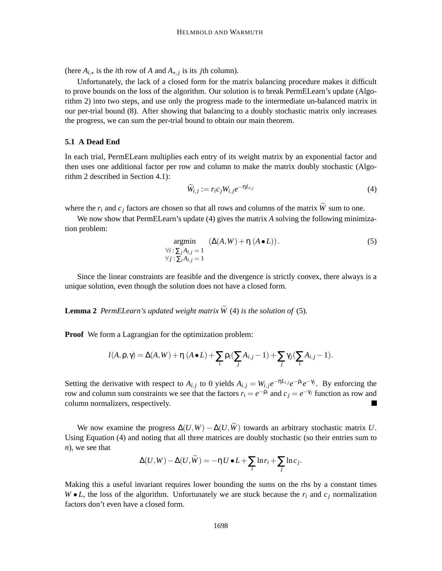(here  $A_{i,\star}$  is the *i*th row of *A* and  $A_{\star,j}$  is its *j*th column).

Unfortunately, the lack of a closed form for the matrix balancing procedure makes it difficult to prove bounds on the loss of the algorithm. Our solution is to break PermELearn's update (Algorithm 2) into two steps, and use only the progress made to the intermediate un-balanced matrix in our per-trial bound (8). After showing that balancing to a doubly stochastic matrix only increases the progress, we can sum the per-trial bound to obtain our main theorem.

#### **5.1 A Dead End**

In each trial, PermELearn multiplies each entry of its weight matrix by an exponential factor and then uses one additional factor per row and column to make the matrix doubly stochastic (Algorithm 2 described in Section 4.1):

$$
\widetilde{W}_{i,j} := r_i c_j W_{i,j} e^{-\eta L_{i,j}} \tag{4}
$$

where the  $r_i$  and  $c_j$  factors are chosen so that all rows and columns of the matrix  $\widetilde{W}$  sum to one.

We now show that PermELearn's update (4) gives the matrix A solving the following minimization problem:

$$
\underset{\forall i \,:\, \sum_{j} A_{i,j} = 1}{\text{argmin}} \quad (\Delta(A, W) + \eta \, (A \bullet L)). \tag{5}
$$
\n
$$
\forall j \,:\, \sum_{i} A_{i,j} = 1
$$

Since the linear constraints are feasible and the divergence is strictly convex, there always is a unique solution, even though the solution does not have a closed form.

**Lemma 2** PermELearn's updated weight matrix  $\widetilde{W}$  (4) is the solution of (5).

**Proof** We form a Lagrangian for the optimization problem:

$$
l(A, \rho, \gamma) = \Delta(A, W) + \eta (A \bullet L) + \sum_i \rho_i (\sum_j A_{i,j} - 1) + \sum_j \gamma_j (\sum_i A_{i,j} - 1).
$$

Setting the derivative with respect to  $A_{i,j}$  to 0 yields  $A_{i,j} = W_{i,j}e^{-\eta L_{i,j}}e^{-\rho_i}e^{-\gamma_j}$ . By enforcing the row and column sum constraints we see that the factors  $r_i = e^{-\rho_i}$  and  $c_j = e^{-\gamma_j}$  function as row and column normalizers, respectively.

We now examine the progress  $\Delta(U,W) - \Delta(U,\tilde{W})$  towards an arbitrary stochastic matrix *U*. Using Equation (4) and noting that all three matrices are doubly stochastic (so their entries sum to *n*), we see that

$$
\Delta(U,W) - \Delta(U,\widetilde{W}) = -\eta U \bullet L + \sum_i \ln r_i + \sum_j \ln c_j.
$$

Making this a useful invariant requires lower bounding the sums on the rhs by a constant times  $W \bullet L$ , the loss of the algorithm. Unfortunately we are stuck because the  $r_i$  and  $c_j$  normalization factors don't even have a closed form.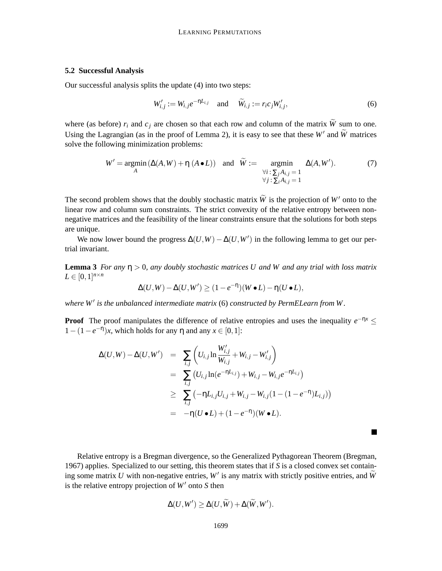## **5.2 Successful Analysis**

Our successful analysis splits the update (4) into two steps:

$$
W'_{i,j} := W_{i,j} e^{-\eta L_{i,j}} \quad \text{and} \quad \widetilde{W}_{i,j} := r_i c_j W'_{i,j}, \tag{6}
$$

where (as before)  $r_i$  and  $c_j$  are chosen so that each row and column of the matrix  $\widetilde{W}$  sum to one. Using the Lagrangian (as in the proof of Lemma 2), it is easy to see that these  $W'$  and  $W$  matrices solve the following minimization problems:

$$
W' = \underset{A}{\text{argmin}} \left( \Delta(A, W) + \eta \ (A \bullet L) \right) \quad \text{and} \quad \widetilde{W} := \underset{\forall i \, : \, \sum_{j} A_{i,j} = 1}{\text{argmin}} \quad \Delta(A, W'). \tag{7}
$$

The second problem shows that the doubly stochastic matrix  $\widetilde{W}$  is the projection of *W'* onto to the linear row and column sum constraints. The strict convexity of the relative entropy between nonnegative matrices and the feasibility of the linear constraints ensure that the solutions for both steps are unique.

We now lower bound the progress  $\Delta(U, W) - \Delta(U, W')$  in the following lemma to get our pertrial invariant.

**Lemma 3** *For any* η > 0*, any doubly stochastic matrices U and W and any trial with loss matrix*  $L \in [0,1]^{n \times n}$ 

$$
\Delta(U,W)-\Delta(U,W')\geq (1-e^{-\eta})(W\bullet L)-\eta(U\bullet L),
$$

*where W*′ *is the unbalanced intermediate matrix* (6) *constructed by PermELearn from W.*

**Proof** The proof manipulates the difference of relative entropies and uses the inequality  $e^{-\eta x} \leq$ 1−(1−*e* −η )*x*, which holds for any η and any *x* ∈ [0,1]:

$$
\Delta(U,W) - \Delta(U,W') = \sum_{i,j} \left( U_{i,j} \ln \frac{W'_{i,j}}{W_{i,j}} + W_{i,j} - W'_{i,j} \right)
$$
  
= 
$$
\sum_{i,j} \left( U_{i,j} \ln(e^{-\eta L_{i,j}}) + W_{i,j} - W_{i,j} e^{-\eta L_{i,j}} \right)
$$
  

$$
\geq \sum_{i,j} \left( -\eta L_{i,j} U_{i,j} + W_{i,j} - W_{i,j} (1 - (1 - e^{-\eta}) L_{i,j}) \right)
$$
  
= 
$$
-\eta (U \bullet L) + (1 - e^{-\eta}) (W \bullet L).
$$

Relative entropy is a Bregman divergence, so the Generalized Pythagorean Theorem (Bregman, 1967) applies. Specialized to our setting, this theorem states that if *S* is a closed convex set containing some matrix  $U$  with non-negative entries,  $W'$  is any matrix with strictly positive entries, and  $W$ is the relative entropy projection of *W*′ onto *S* then

 $\blacksquare$ 

$$
\Delta(U, W') \geq \Delta(U, W) + \Delta(W, W').
$$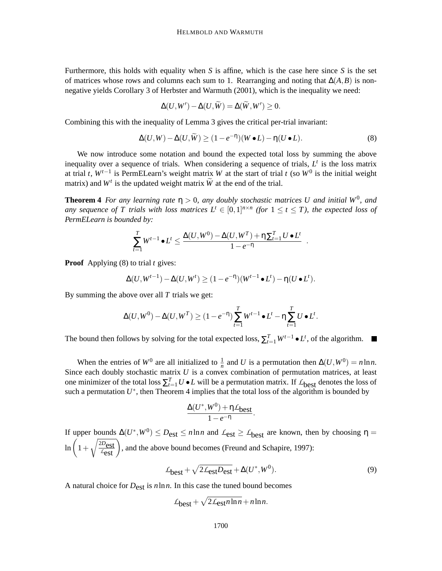Furthermore, this holds with equality when *S* is affine, which is the case here since *S* is the set of matrices whose rows and columns each sum to 1. Rearranging and noting that  $\Delta(A,B)$  is nonnegative yields Corollary 3 of Herbster and Warmuth (2001), which is the inequality we need:

$$
\Delta(U, W') - \Delta(U, \widetilde{W}) = \Delta(\widetilde{W}, W') \ge 0.
$$

Combining this with the inequality of Lemma 3 gives the critical per-trial invariant:

$$
\Delta(U,W) - \Delta(U,\widetilde{W}) \ge (1 - e^{-\eta})(W \bullet L) - \eta(U \bullet L). \tag{8}
$$

We now introduce some notation and bound the expected total loss by summing the above inequality over a sequence of trials. When considering a sequence of trials,  $L<sup>t</sup>$  is the loss matrix at trial *t*,  $W^{t-1}$  is PermELearn's weight matrix *W* at the start of trial *t* (so  $W^0$  is the initial weight matrix) and  $W^t$  is the updated weight matrix  $\widetilde{W}$  at the end of the trial.

**Theorem 4** *For any learning rate*  $\eta > 0$ , *any doubly stochastic matrices U and initial*  $W^0$ , *and any sequence of* T trials with loss matrices  $L^t \in [0,1]^{n \times n}$  (for  $1 \le t \le T$ ), the expected loss of *PermELearn is bounded by:*

$$
\sum_{t=1}^T W^{t-1} \bullet L^t \le \frac{\Delta(U, W^0) - \Delta(U, W^T) + \eta \sum_{t=1}^T U \bullet L^t}{1 - e^{-\eta}}.
$$

**Proof** Applying (8) to trial *t* gives:

$$
\Delta(U, W^{t-1}) - \Delta(U, W^t) \ge (1 - e^{-\eta})(W^{t-1} \bullet L^t) - \eta(U \bullet L^t).
$$

By summing the above over all *T* trials we get:

$$
\Delta(U, W^0) - \Delta(U, W^T) \ge (1 - e^{-\eta}) \sum_{t=1}^T W^{t-1} \bullet L^t - \eta \sum_{t=1}^T U \bullet L^t.
$$

The bound then follows by solving for the total expected loss,  $\sum_{t=1}^{T} W^{t-1} \bullet L^t$ , of the algorithm.

When the entries of  $W^0$  are all initialized to  $\frac{1}{n}$  and *U* is a permutation then  $\Delta(U, W^0) = n \ln n$ . Since each doubly stochastic matrix *U* is a convex combination of permutation matrices, at least one minimizer of the total loss  $\sum_{t=1}^{T} U \cdot L$  will be a permutation matrix. If  $L_{best}$  denotes the loss of such a permutation  $U^*$ , then Theorem 4 implies that the total loss of the algorithm is bounded by

$$
\frac{\Delta(U^*,W^0)+\eta\mathcal{L}_{best}}{1-e^{-\eta}}.
$$

If upper bounds  $\Delta(U^*, W^0) \leq D_{est} \leq n \ln n$  and  $\mathcal{L}_{est} \geq \mathcal{L}_{best}$  are known, then by choosing  $\eta =$  $\ln\left(1+\right)$  $\sqrt{\frac{2D_{\text{est}}}{\epsilon_{\text{est}}}}$ , and the above bound becomes (Freund and Schapire, 1997):

$$
\mathcal{L}_{\text{best}} + \sqrt{2\mathcal{L}_{\text{est}}D_{\text{est}}} + \Delta(U^*, W^0). \tag{9}
$$

A natural choice for *D*est is *n*ln*n*. In this case the tuned bound becomes

$$
\mathcal{L}_{\text{best}} + \sqrt{2\mathcal{L}_{\text{est}} n \ln n} + n \ln n.
$$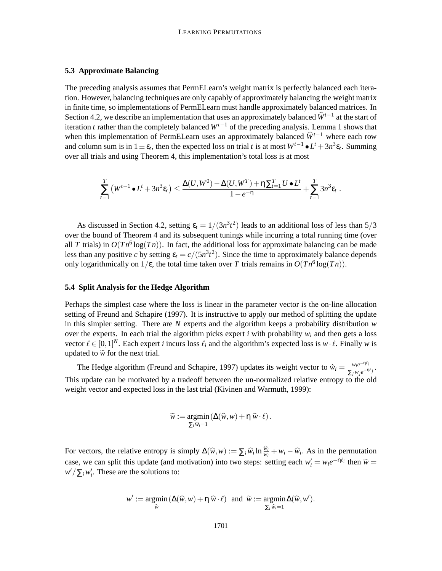#### **5.3 Approximate Balancing**

The preceding analysis assumes that PermELearn's weight matrix is perfectly balanced each iteration. However, balancing techniques are only capably of approximately balancing the weight matrix in finite time, so implementations of PermELearn must handle approximately balanced matrices. In Section 4.2, we describe an implementation that uses an approximately balanced  $\hat{W}^{t-1}$  at the start of iteration *t* rather than the completely balanced *Wt*−<sup>1</sup> of the preceding analysis. Lemma 1 shows that when this implementation of PermELearn uses an approximately balanced  $\hat{W}^{t-1}$  where each row and column sum is in  $1 \pm \varepsilon_t$ , then the expected loss on trial *t* is at most  $W^{t-1} \bullet L^t + 3n^3 \varepsilon_t$ . Summing over all trials and using Theorem 4, this implementation's total loss is at most

$$
\sum_{t=1}^T \left( W^{t-1} \bullet L^t + 3n^3 \varepsilon_t \right) \leq \frac{\Delta(U,W^0) - \Delta(U,W^T) + \eta \sum_{t=1}^T U \bullet L^t}{1-e^{-\eta}} + \sum_{t=1}^T 3n^3 \varepsilon_t
$$

.

As discussed in Section 4.2, setting  $\varepsilon_t = 1/(3n^3t^2)$  leads to an additional loss of less than 5/3 over the bound of Theorem 4 and its subsequent tunings while incurring a total running time (over all *T* trials) in  $O(Tn^6 \log(Tn))$ . In fact, the additional loss for approximate balancing can be made less than any positive *c* by setting  $\varepsilon_t = c/(5n^3t^2)$ . Since the time to approximately balance depends only logarithmically on  $1/\varepsilon$ , the total time taken over *T* trials remains in  $O(Tn^6 \log(Tn))$ .

### **5.4 Split Analysis for the Hedge Algorithm**

Perhaps the simplest case where the loss is linear in the parameter vector is the on-line allocation setting of Freund and Schapire (1997). It is instructive to apply our method of splitting the update in this simpler setting. There are *N* experts and the algorithm keeps a probability distribution *w* over the experts. In each trial the algorithm picks expert *i* with probability  $w_i$  and then gets a loss vector  $\ell \in [0,1]^N$ . Each expert *i* incurs loss  $\ell_i$  and the algorithm's expected loss is  $w \cdot \ell$ . Finally *w* is updated to  $\widetilde{w}$  for the next trial.

The Hedge algorithm (Freund and Schapire, 1997) updates its weight vector to  $\tilde{w}_i = \frac{w_i e^{-\eta \ell_i}}{S}$  $\frac{w_i e^{-\eta c_I}}{\sum_j w_j e^{-\eta \ell_j}}$ . This update can be motivated by a tradeoff between the un-normalized relative entropy to the old weight vector and expected loss in the last trial (Kivinen and Warmuth, 1999):

$$
\widetilde{w} := \underset{\sum_i \widehat{w}_i = 1}{\text{argmin}} \left( \Delta(\widehat{w}, w) + \eta \widehat{w} \cdot \ell \right).
$$

For vectors, the relative entropy is simply  $\Delta(\widehat{w}, w) := \sum_i \widehat{w}_i \ln \frac{\widehat{w}_i}{w_i} + w_i - \widehat{w}_i$ . As in the permutation case, we can split this update (and motivation) into two steps: setting each  $w'_i = w_i e^{-\eta \ell_i}$  then  $\widetilde{w} = \frac{1}{\sqrt{N}} \int_{-\infty}^{\infty} \int_{-\infty}^{\infty} \int_{-\infty}^{\infty} \int_{-\infty}^{\infty} \int_{-\infty}^{\infty} \int_{-\infty}^{\infty} \int_{-\infty}^{\infty} \int_{-\infty}^{\infty} \int_{-\infty}$  $w' / \sum_i w'_i$ . These are the solutions to:

$$
w' := \underset{\widehat{w}}{\operatorname{argmin}} \left( \Delta(\widehat{w}, w) + \eta \; \widehat{w} \cdot \ell \right) \text{ and } \widetilde{w} := \underset{\sum_i \widehat{w}_i = 1}{\operatorname{argmin}} \Delta(\widehat{w}, w').
$$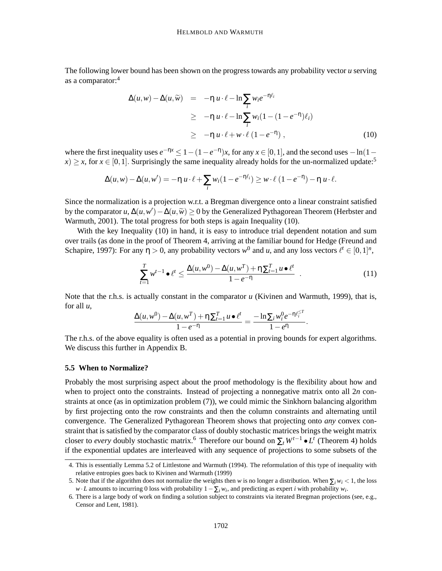The following lower bound has been shown on the progress towards any probability vector *u* serving as a comparator:<sup>4</sup>

$$
\Delta(u, w) - \Delta(u, \widetilde{w}) = -\eta u \cdot \ell - \ln \sum_{i} w_i e^{-\eta \ell_i}
$$
  
\n
$$
\geq -\eta u \cdot \ell - \ln \sum_{i} w_i (1 - (1 - e^{-\eta}) \ell_i)
$$
  
\n
$$
\geq -\eta u \cdot \ell + w \cdot \ell (1 - e^{-\eta}), \qquad (10)
$$

where the first inequality uses  $e^{-\eta x} \leq 1 - (1 - e^{-\eta})x$ , for any  $x \in [0, 1]$ , and the second uses  $-\ln(1$  $x \geq x$ , for  $x \in [0,1]$ . Surprisingly the same inequality already holds for the un-normalized update:<sup>5</sup>

$$
\Delta(u, w) - \Delta(u, w') = -\eta u \cdot \ell + \sum_{i} w_i (1 - e^{-\eta \ell_i}) \geq w \cdot \ell (1 - e^{-\eta}) - \eta u \cdot \ell.
$$

Since the normalization is a projection w.r.t. a Bregman divergence onto a linear constraint satisfied by the comparator *u*,  $\Delta(u, w') - \Delta(u, \widetilde{w}) \ge 0$  by the Generalized Pythagorean Theorem (Herbster and Warmuth, 2001). The total progress for both steps is again Inequality (10).

With the key Inequality (10) in hand, it is easy to introduce trial dependent notation and sum over trails (as done in the proof of Theorem 4, arriving at the familiar bound for Hedge (Freund and Schapire, 1997): For any  $\eta > 0$ , any probability vectors  $w^0$  and *u*, and any loss vectors  $\ell^t \in [0,1]^n$ ,

$$
\sum_{t=1}^{T} w^{t-1} \bullet \ell^{t} \le \frac{\Delta(u, w^{0}) - \Delta(u, w^{T}) + \eta \sum_{t=1}^{T} u \bullet \ell^{t}}{1 - e^{-\eta}} \quad . \tag{11}
$$

Note that the r.h.s. is actually constant in the comparator *u* (Kivinen and Warmuth, 1999), that is, for all *u*,

$$
\frac{\Delta(u, w^0) - \Delta(u, w^T) + \eta \sum_{t=1}^T u \bullet \ell^t}{1 - e^{-\eta}} = \frac{-\ln \sum_i w_i^0 e^{-\eta \ell_i^{\leq T}}}{1 - e^{\eta}}.
$$

The r.h.s. of the above equality is often used as a potential in proving bounds for expert algorithms. We discuss this further in Appendix B.

### **5.5 When to Normalize?**

Probably the most surprising aspect about the proof methodology is the flexibility about how and when to project onto the constraints. Instead of projecting a nonnegative matrix onto all 2*n* constraints at once (as in optimization problem (7)), we could mimic the Sinkhorn balancing algorithm by first projecting onto the row constraints and then the column constraints and alternating until convergence. The Generalized Pythagorean Theorem shows that projecting onto *any* convex constraint that is satisfied by the comparator class of doubly stochastic matrices brings the weight matrix closer to *every* doubly stochastic matrix.<sup>6</sup> Therefore our bound on  $\Sigma_t W^{t-1} \bullet L^t$  (Theorem 4) holds if the exponential updates are interleaved with any sequence of projections to some subsets of the

<sup>4.</sup> This is essentially Lemma 5.2 of Littlestone and Warmuth (1994). The reformulation of this type of inequality with relative entropies goes back to Kivinen and Warmuth (1999)

<sup>5.</sup> Note that if the algorithm does not normalize the weights then *w* is no longer a distribution. When  $\sum_i w_i < 1$ , the loss  $w \cdot L$  amounts to incurring 0 loss with probability  $1 - \sum_i w_i$ , and predicting as expert *i* with probability  $w_i$ .

<sup>6.</sup> There is a large body of work on finding a solution subject to constraints via iterated Bregman projections (see, e.g., Censor and Lent, 1981).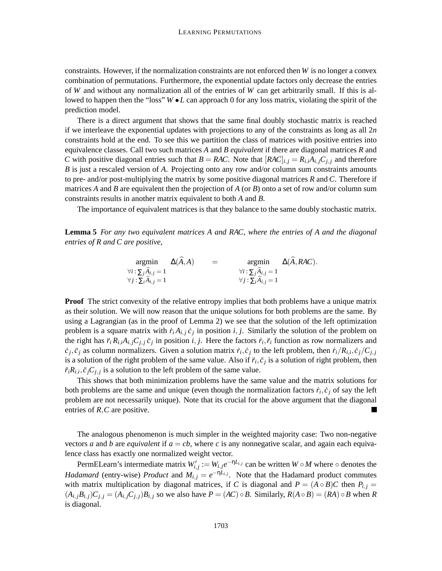constraints. However, if the normalization constraints are not enforced then *W* is no longer a convex combination of permutations. Furthermore, the exponential update factors only decrease the entries of *W* and without any normalization all of the entries of *W* can get arbitrarily small. If this is allowed to happen then the "loss"  $W \bullet L$  can approach 0 for any loss matrix, violating the spirit of the prediction model.

There is a direct argument that shows that the same final doubly stochastic matrix is reached if we interleave the exponential updates with projections to any of the constraints as long as all 2*n* constraints hold at the end. To see this we partition the class of matrices with positive entries into equivalence classes. Call two such matrices *A* and *B equivalent* if there are diagonal matrices *R* and *C* with positive diagonal entries such that  $B = RAC$ . Note that  $[RAC]_{i,j} = R_{i,i}A_{i,j}C_{j,j}$  and therefore *B* is just a rescaled version of *A*. Projecting onto any row and/or column sum constraints amounts to pre- and/or post-multiplying the matrix by some positive diagonal matrices *R* and *C*. Therefore if matrices *A* and *B* are equivalent then the projection of *A* (or *B*) onto a set of row and/or column sum constraints results in another matrix equivalent to both *A* and *B*.

The importance of equivalent matrices is that they balance to the same doubly stochastic matrix.

**Lemma 5** *For any two equivalent matrices A and RAC, where the entries of A and the diagonal entries of R and C are positive,*

$$
\operatorname*{argmin}_{\forall i : \sum_{j} \widehat{A}_{i,j} = 1} \Delta(\widehat{A}, A) = \operatorname*{argmin}_{\forall i : \sum_{j} \widehat{A}_{i,j} = 1} \Delta(\widehat{A}, RAC).
$$
\n
$$
\forall i : \sum_{i} \widehat{A}_{i,j} = 1 \qquad \forall j : \sum_{i} \widehat{A}_{i,j} = 1
$$

**Proof** The strict convexity of the relative entropy implies that both problems have a unique matrix as their solution. We will now reason that the unique solutions for both problems are the same. By using a Lagrangian (as in the proof of Lemma 2) we see that the solution of the left optimization problem is a square matrix with  $\dot{r}_i A_{i,j} \dot{c}_j$  in position *i*, *j*. Similarly the solution of the problem on the right has  $\ddot{r}_i R_{i,i} A_{i,j} C_{j,j} \ddot{c}_j$  in position  $i, j$ . Here the factors  $\dot{r}_i, \ddot{r}_i$  function as row normalizers and  $\dot{c}_j$ ,  $\ddot{c}_j$  as column normalizers. Given a solution matrix  $\dot{r}_i$ ,  $\dot{c}_j$  to the left problem, then  $\dot{r}_i/R_{i,i}, \dot{c}_j/C_{j,j}$ is a solution of the right problem of the same value. Also if  $\ddot{r}_i, \ddot{c}_j$  is a solution of right problem, then  $\ddot{r}_i R_{i,i}, \ddot{c}_j C_{j,j}$  is a solution to the left problem of the same value.

This shows that both minimization problems have the same value and the matrix solutions for both problems are the same and unique (even though the normalization factors  $\dot{r}_i, \dot{c}_j$  of say the left problem are not necessarily unique). Note that its crucial for the above argument that the diagonal entries of *R*,*C* are positive.  $\blacksquare$ 

The analogous phenomenon is much simpler in the weighted majority case: Two non-negative vectors *a* and *b* are *equivalent* if  $a = cb$ , where *c* is any nonnegative scalar, and again each equivalence class has exactly one normalized weight vector.

PermELearn's intermediate matrix  $W'_{i,j} := W_{i,j}e^{-\eta L_{i,j}}$  can be written  $W \circ M$  where  $\circ$  denotes the *Hadamard* (entry-wise) *Product* and  $M_{i,j} = e^{-\eta L_{i,j}}$ . Note that the Hadamard product commutes with matrix multiplication by diagonal matrices, if *C* is diagonal and  $P = (A \circ B)C$  then  $P_{i,j} =$  $(A_{i,j}B_{i,j})C_{j,j} = (A_{i,j}C_{j,j})B_{i,j}$  so we also have  $P = (AC) \circ B$ . Similarly,  $R(A \circ B) = (RA) \circ B$  when R is diagonal.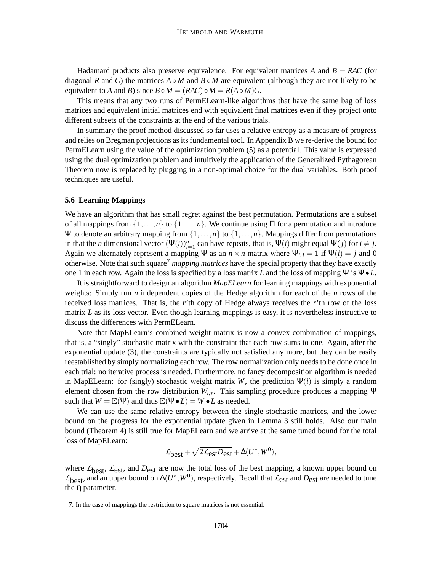Hadamard products also preserve equivalence. For equivalent matrices *A* and  $B = RAC$  (for diagonal *R* and *C*) the matrices  $A \circ M$  and  $B \circ M$  are equivalent (although they are not likely to be equivalent to *A* and *B*) since  $B \circ M = (RAC) \circ M = R(A \circ M)C$ .

This means that any two runs of PermELearn-like algorithms that have the same bag of loss matrices and equivalent initial matrices end with equivalent final matrices even if they project onto different subsets of the constraints at the end of the various trials.

In summary the proof method discussed so far uses a relative entropy as a measure of progress and relies on Bregman projections as its fundamental tool. In Appendix B we re-derive the bound for PermELearn using the value of the optimization problem (5) as a potential. This value is expressed using the dual optimization problem and intuitively the application of the Generalized Pythagorean Theorem now is replaced by plugging in a non-optimal choice for the dual variables. Both proof techniques are useful.

#### **5.6 Learning Mappings**

We have an algorithm that has small regret against the best permutation. Permutations are a subset of all mappings from  $\{1,\ldots,n\}$  to  $\{1,\ldots,n\}$ . We continue using  $\Pi$  for a permutation and introduce Ψ to denote an arbitrary mapping from  $\{1, \ldots, n\}$  to  $\{1, \ldots, n\}$ . Mappings differ from permutations in that the *n* dimensional vector  $(\Psi(i))_{i=1}^n$  can have repeats, that is,  $\Psi(i)$  might equal  $\Psi(j)$  for  $i \neq j$ . Again we alternately represent a mapping  $\Psi$  as an  $n \times n$  matrix where  $\Psi_{i,j} = 1$  if  $\Psi(i) = j$  and 0 otherwise. Note that such square<sup>7</sup> *mapping matrices* have the special property that they have exactly one 1 in each row. Again the loss is specified by a loss matrix *L* and the loss of mapping Ψ is Ψ•*L*.

It is straightforward to design an algorithm *MapELearn* for learning mappings with exponential weights: Simply run *n* independent copies of the Hedge algorithm for each of the *n* rows of the received loss matrices. That is, the *r*'th copy of Hedge always receives the *r*'th row of the loss matrix *L* as its loss vector. Even though learning mappings is easy, it is nevertheless instructive to discuss the differences with PermELearn.

Note that MapELearn's combined weight matrix is now a convex combination of mappings, that is, a "singly" stochastic matrix with the constraint that each row sums to one. Again, after the exponential update (3), the constraints are typically not satisfied any more, but they can be easily reestablished by simply normalizing each row. The row normalization only needs to be done once in each trial: no iterative process is needed. Furthermore, no fancy decomposition algorithm is needed in MapELearn: for (singly) stochastic weight matrix *W*, the prediction  $\Psi(i)$  is simply a random element chosen from the row distribution *Wi*,∗. This sampling procedure produces a mapping Ψ such that  $W = \mathbb{E}(\Psi)$  and thus  $\mathbb{E}(\Psi \bullet L) = W \bullet L$  as needed.

We can use the same relative entropy between the single stochastic matrices, and the lower bound on the progress for the exponential update given in Lemma 3 still holds. Also our main bound (Theorem 4) is still true for MapELearn and we arrive at the same tuned bound for the total loss of MapELearn:

$$
\mathcal{L}_{\text{best}} + \sqrt{2\mathcal{L}_{\text{est}}D_{\text{est}}} + \Delta(U^*, W^0),
$$

where  $L_{best}$ ,  $L_{est}$ , and  $D_{est}$  are now the total loss of the best mapping, a known upper bound on *L*best, and an upper bound on <sup>∆</sup>(*<sup>U</sup>* ∗ ,*W*<sup>0</sup> ), respectively. Recall that *L*est and *<sup>D</sup>*est are needed to tune the η parameter.

<sup>7.</sup> In the case of mappings the restriction to square matrices is not essential.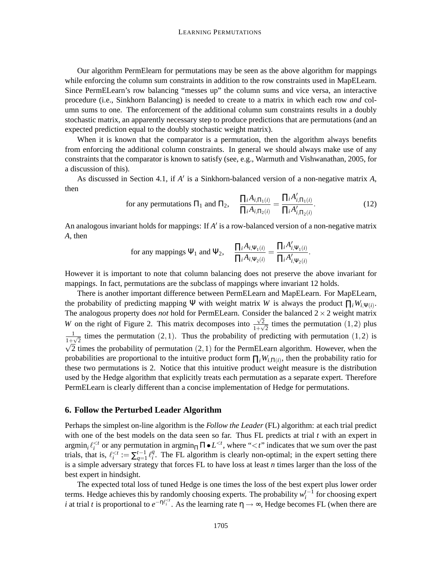Our algorithm PermElearn for permutations may be seen as the above algorithm for mappings while enforcing the column sum constraints in addition to the row constraints used in MapELearn. Since PermELearn's row balancing "messes up" the column sums and vice versa, an interactive procedure (i.e., Sinkhorn Balancing) is needed to create to a matrix in which each row *and* column sums to one. The enforcement of the additional column sum constraints results in a doubly stochastic matrix, an apparently necessary step to produce predictions that are permutations (and an expected prediction equal to the doubly stochastic weight matrix).

When it is known that the comparator is a permutation, then the algorithm always benefits from enforcing the additional column constraints. In general we should always make use of any constraints that the comparator is known to satisfy (see, e.g., Warmuth and Vishwanathan, 2005, for a discussion of this).

As discussed in Section 4.1, if *A* ′ is a Sinkhorn-balanced version of a non-negative matrix *A*, then

for any permutations 
$$
\Pi_1
$$
 and  $\Pi_2$ , 
$$
\frac{\prod_i A_{i,\Pi_1(i)}}{\prod_i A_{i,\Pi_2(i)}} = \frac{\prod_i A'_{i,\Pi_1(i)}}{\prod_i A'_{i,\Pi_2(i)}}.
$$
 (12)

An analogous invariant holds for mappings: If *A* ′ is a row-balanced version of a non-negative matrix *A*, then

for any mappings 
$$
\Psi_1
$$
 and  $\Psi_2$ , 
$$
\frac{\prod_i A_{i,\Psi_1(i)}}{\prod_i A_{i,\Psi_2(i)}} = \frac{\prod_i A'_{i,\Psi_1(i)}}{\prod_i A'_{i,\Psi_2(i)}}.
$$

However it is important to note that column balancing does not preserve the above invariant for mappings. In fact, permutations are the subclass of mappings where invariant 12 holds.

There is another important difference between PermELearn and MapELearn. For MapELearn, the probability of predicting mapping  $\Psi$  with weight matrix *W* is always the product  $\prod_i W_i \Psi(i)$ . The analogous property does *not* hold for PermELearn. Consider the balanced  $2 \times 2$  weight matrix *W* on the right of Figure 2. This matrix decomposes into  $\frac{\sqrt{2}}{1+\sqrt{2}}$  $\frac{\sqrt{2}}{1+\sqrt{2}}$  times the permutation  $(1,2)$  plus 1  $\frac{1}{1+\sqrt{2}}$  times the permutation (2,1). Thus the probability of predicting with permutation (1,2) is  $\sqrt{2}$  times the probability of permutation (2, 1) for the PermELearn algorithm. However, when the probabilities are proportional to the intuitive product form  $\prod_i W_{i,\Pi(i)}$ , then the probability ratio for these two permutations is 2. Notice that this intuitive product weight measure is the distribution used by the Hedge algorithm that explicitly treats each permutation as a separate expert. Therefore PermELearn is clearly different than a concise implementation of Hedge for permutations.

# **6. Follow the Perturbed Leader Algorithm**

Perhaps the simplest on-line algorithm is the *Follow the Leader* (FL) algorithm: at each trial predict with one of the best models on the data seen so far. Thus FL predicts at trial *t* with an expert in  $\argmin_i \ell_i^{< t}$  or any permutation in  $\argmin_{\Pi} \Pi \bullet L^{< t}$ , where "<*t*" indicates that we sum over the past trials, that is,  $\ell_i^{< t} := \sum_{q=1}^{t-1} \ell_i^q$  $i<sub>i</sub>$ . The FL algorithm is clearly non-optimal; in the expert setting there is a simple adversary strategy that forces FL to have loss at least *n* times larger than the loss of the best expert in hindsight.

The expected total loss of tuned Hedge is one times the loss of the best expert plus lower order terms. Hedge achieves this by randomly choosing experts. The probability  $w_i^{t-1}$  for choosing expert *i* at trial *t* is proportional to  $e^{-\eta \ell_i^{. As the learning rate  $\eta \to \infty$ , Hedge becomes FL (when there are$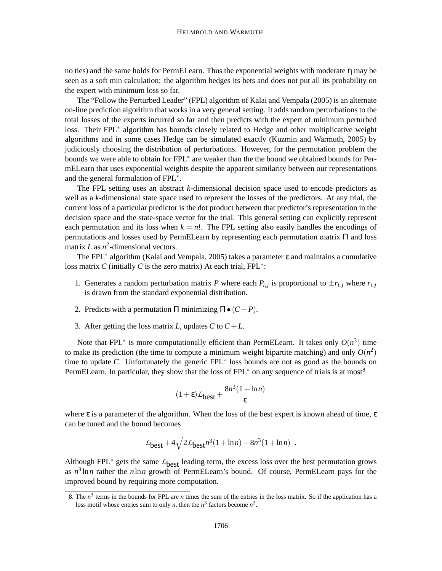no ties) and the same holds for PermELearn. Thus the exponential weights with moderate η may be seen as a soft min calculation: the algorithm hedges its bets and does not put all its probability on the expert with minimum loss so far.

The "Follow the Perturbed Leader" (FPL) algorithm of Kalai and Vempala (2005) is an alternate on-line prediction algorithm that works in a very general setting. It adds random perturbations to the total losses of the experts incurred so far and then predicts with the expert of minimum perturbed loss. Their FPL<sup>\*</sup> algorithm has bounds closely related to Hedge and other multiplicative weight algorithms and in some cases Hedge can be simulated exactly (Kuzmin and Warmuth, 2005) by judiciously choosing the distribution of perturbations. However, for the permutation problem the bounds we were able to obtain for FPL∗ are weaker than the the bound we obtained bounds for PermELearn that uses exponential weights despite the apparent similarity between our representations and the general formulation of FPL∗ .

The FPL setting uses an abstract *k*-dimensional decision space used to encode predictors as well as a *k*-dimensional state space used to represent the losses of the predictors. At any trial, the current loss of a particular predictor is the dot product between that predictor's representation in the decision space and the state-space vector for the trial. This general setting can explicitly represent each permutation and its loss when  $k = n!$ . The FPL setting also easily handles the encodings of permutations and losses used by PermELearn by representing each permutation matrix Π and loss matrix *L* as  $n^2$ -dimensional vectors.

The FPL<sup>∗</sup> algorithm (Kalai and Vempala, 2005) takes a parameter ε and maintains a cumulative loss matrix *C* (initially *C* is the zero matrix) At each trial, FPL∗ :

- 1. Generates a random perturbation matrix *P* where each  $P_{i,j}$  is proportional to  $\pm r_{i,j}$  where  $r_{i,j}$ is drawn from the standard exponential distribution.
- 2. Predicts with a permutation  $\Pi$  minimizing  $\Pi \bullet (C + P)$ .
- 3. After getting the loss matrix *L*, updates *C* to  $C + L$ .

Note that FPL<sup>\*</sup> is more computationally efficient than PermELearn. It takes only  $O(n^3)$  time to make its prediction (the time to compute a minimum weight bipartite matching) and only  $O(n^2)$ time to update *C*. Unfortunately the generic FPL∗ loss bounds are not as good as the bounds on PermELearn. In particular, they show that the loss of FPL<sup>\*</sup> on any sequence of trials is at most<sup>8</sup>

$$
(1+\varepsilon)\mathcal{L}_{\text{best}} + \frac{8n^3(1+\ln n)}{\varepsilon}
$$

where  $\varepsilon$  is a parameter of the algorithm. When the loss of the best expert is known ahead of time,  $\varepsilon$ can be tuned and the bound becomes

$$
\mathcal{L}_{\text{best}} + 4\sqrt{2\mathcal{L}_{\text{best}}n^3(1+\ln n)} + 8n^3(1+\ln n) \enspace .
$$

Although FPL<sup>∗</sup> gets the same  $L_{best}$  leading term, the excess loss over the best permutation grows as *n* 3 ln*n* rather the *n*ln*n* growth of PermELearn's bound. Of course, PermELearn pays for the improved bound by requiring more computation.

<sup>8.</sup> The  $n^3$  terms in the bounds for FPL are *n* times the sum of the entries in the loss matrix. So if the application has a loss motif whose entries sum to only *n*, then the  $n^3$  factors become  $n^2$ .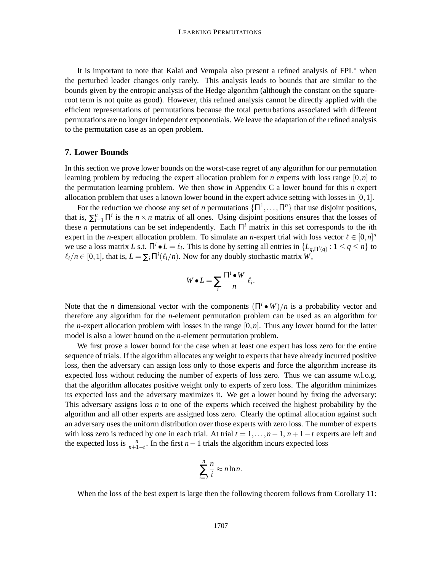It is important to note that Kalai and Vempala also present a refined analysis of FPL∗ when the perturbed leader changes only rarely. This analysis leads to bounds that are similar to the bounds given by the entropic analysis of the Hedge algorithm (although the constant on the squareroot term is not quite as good). However, this refined analysis cannot be directly applied with the efficient representations of permutations because the total perturbations associated with different permutations are no longer independent exponentials. We leave the adaptation of the refined analysis to the permutation case as an open problem.

#### **7. Lower Bounds**

In this section we prove lower bounds on the worst-case regret of any algorithm for our permutation learning problem by reducing the expert allocation problem for *n* experts with loss range [0,*n*] to the permutation learning problem. We then show in Appendix C a lower bound for this *n* expert allocation problem that uses a known lower bound in the expert advice setting with losses in  $[0,1]$ .

For the reduction we choose any set of *n* permutations  $\{\Pi^1, \dots, \Pi^n\}$  that use disjoint positions, that is,  $\sum_{i=1}^{n} \Pi^{i}$  is the *n* × *n* matrix of all ones. Using disjoint positions ensures that the losses of these *n* permutations can be set independently. Each  $\Pi^i$  matrix in this set corresponds to the *i*th expert in the *n*-expert allocation problem. To simulate an *n*-expert trial with loss vector  $l \in [0,n]^n$ we use a loss matrix *L* s.t.  $\Pi^{i} \bullet L = \ell_{i}$ . This is done by setting all entries in  $\{L_{q, \Pi^{i}(q)} : 1 \leq q \leq n\}$  to  $\ell_i/n \in [0,1]$ , that is,  $L = \sum_i \Pi^i(\ell_i/n)$ . Now for any doubly stochastic matrix  $W$ ,

$$
W \bullet L = \sum_{i} \frac{\Pi^{i} \bullet W}{n} \ell_{i}.
$$

Note that the *n* dimensional vector with the components  $(\Pi^i \bullet W)/n$  is a probability vector and therefore any algorithm for the *n*-element permutation problem can be used as an algorithm for the *n*-expert allocation problem with losses in the range  $[0, n]$ . Thus any lower bound for the latter model is also a lower bound on the *n*-element permutation problem.

We first prove a lower bound for the case when at least one expert has loss zero for the entire sequence of trials. If the algorithm allocates any weight to experts that have already incurred positive loss, then the adversary can assign loss only to those experts and force the algorithm increase its expected loss without reducing the number of experts of loss zero. Thus we can assume w.l.o.g. that the algorithm allocates positive weight only to experts of zero loss. The algorithm minimizes its expected loss and the adversary maximizes it. We get a lower bound by fixing the adversary: This adversary assigns loss *n* to one of the experts which received the highest probability by the algorithm and all other experts are assigned loss zero. Clearly the optimal allocation against such an adversary uses the uniform distribution over those experts with zero loss. The number of experts with loss zero is reduced by one in each trial. At trial  $t = 1, \ldots, n-1, n+1-t$  experts are left and the expected loss is  $\frac{n}{n+1-t}$ . In the first *n* − 1 trials the algorithm incurs expected loss

$$
\sum_{i=2}^n \frac{n}{i} \approx n \ln n.
$$

When the loss of the best expert is large then the following theorem follows from Corollary 11: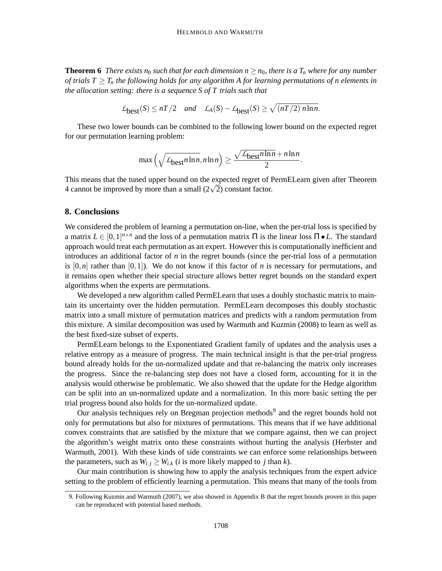**Theorem 6** *There exists n*<sub>0</sub> *such that for each dimension*  $n \ge n_0$ *, there is a*  $T_n$  *where for any number of trials*  $T \geq T_n$  *the following holds for any algorithm A for learning permutations of n elements in the allocation setting: there is a sequence S of T trials such that*

$$
\mathcal{L}_{\text{best}}(S) \le nT/2 \quad \text{and} \quad \mathcal{L}_A(S) - \mathcal{L}_{\text{best}}(S) \ge \sqrt{(nT/2) \ n \ln n}.
$$

These two lower bounds can be combined to the following lower bound on the expected regret for our permutation learning problem:

$$
\max\left(\sqrt{\mathcal{L}_{\text{best}} n \ln n}, n \ln n\right) \ge \frac{\sqrt{\mathcal{L}_{\text{best}} n \ln n} + n \ln n}{2}.
$$

This means that the tuned upper bound on the expected regret of PermELearn given after Theorem 4 cannot be improved by more than a small  $(2\sqrt{2})$  constant factor.

### **8. Conclusions**

We considered the problem of learning a permutation on-line, when the per-trial loss is specified by a matrix  $L \in [0,1]^{n \times n}$  and the loss of a permutation matrix  $\Pi$  is the linear loss  $\Pi \bullet L$ . The standard approach would treat each permutation as an expert. However this is computationally inefficient and introduces an additional factor of *n* in the regret bounds (since the per-trial loss of a permutation is  $[0,n]$  rather than  $[0,1]$ ). We do not know if this factor of *n* is necessary for permutations, and it remains open whether their special structure allows better regret bounds on the standard expert algorithms when the experts are permutations.

We developed a new algorithm called PermELearn that uses a doubly stochastic matrix to maintain its uncertainty over the hidden permutation. PermELearn decomposes this doubly stochastic matrix into a small mixture of permutation matrices and predicts with a random permutation from this mixture. A similar decomposition was used by Warmuth and Kuzmin (2008) to learn as well as the best fixed-size subset of experts.

PermELearn belongs to the Exponentiated Gradient family of updates and the analysis uses a relative entropy as a measure of progress. The main technical insight is that the per-trial progress bound already holds for the un-normalized update and that re-balancing the matrix only increases the progress. Since the re-balancing step does not have a closed form, accounting for it in the analysis would otherwise be problematic. We also showed that the update for the Hedge algorithm can be split into an un-normalized update and a normalization. In this more basic setting the per trial progress bound also holds for the un-normalized update.

Our analysis techniques rely on Bregman projection methods<sup>9</sup> and the regret bounds hold not only for permutations but also for mixtures of permutations. This means that if we have additional convex constraints that are satisfied by the mixture that we compare against, then we can project the algorithm's weight matrix onto these constraints without hurting the analysis (Herbster and Warmuth, 2001). With these kinds of side constraints we can enforce some relationships between the parameters, such as  $W_{i,j} \geq W_{i,k}$  (*i* is more likely mapped to *j* than *k*).

Our main contribution is showing how to apply the analysis techniques from the expert advice setting to the problem of efficiently learning a permutation. This means that many of the tools from

<sup>9.</sup> Following Kuzmin and Warmuth (2007), we also showed in Appendix B that the regret bounds proven in this paper can be reproduced with potential based methods.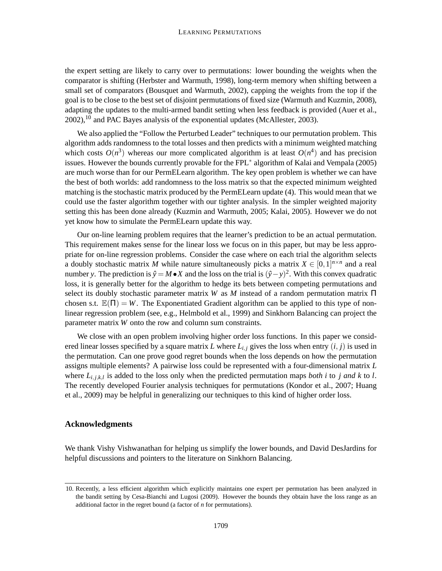the expert setting are likely to carry over to permutations: lower bounding the weights when the comparator is shifting (Herbster and Warmuth, 1998), long-term memory when shifting between a small set of comparators (Bousquet and Warmuth, 2002), capping the weights from the top if the goal is to be close to the best set of disjoint permutations of fixed size (Warmuth and Kuzmin, 2008), adapting the updates to the multi-armed bandit setting when less feedback is provided (Auer et al.,  $2002$ ),  $^{10}$  and PAC Bayes analysis of the exponential updates (McAllester, 2003).

We also applied the "Follow the Perturbed Leader" techniques to our permutation problem. This algorithm adds randomness to the total losses and then predicts with a minimum weighted matching which costs  $O(n^3)$  whereas our more complicated algorithm is at least  $O(n^4)$  and has precision issues. However the bounds currently provable for the FPL∗ algorithm of Kalai and Vempala (2005) are much worse than for our PermELearn algorithm. The key open problem is whether we can have the best of both worlds: add randomness to the loss matrix so that the expected minimum weighted matching is the stochastic matrix produced by the PermELearn update (4). This would mean that we could use the faster algorithm together with our tighter analysis. In the simpler weighted majority setting this has been done already (Kuzmin and Warmuth, 2005; Kalai, 2005). However we do not yet know how to simulate the PermELearn update this way.

Our on-line learning problem requires that the learner's prediction to be an actual permutation. This requirement makes sense for the linear loss we focus on in this paper, but may be less appropriate for on-line regression problems. Consider the case where on each trial the algorithm selects a doubly stochastic matrix *M* while nature simultaneously picks a matrix  $X \in [0,1]^{n \times n}$  and a real number *y*. The prediction is  $\hat{y} = M \cdot X$  and the loss on the trial is  $(\hat{y} - y)^2$ . With this convex quadratic loss, it is generally better for the algorithm to hedge its bets between competing permutations and select its doubly stochastic parameter matrix *W* as *M* instead of a random permutation matrix Π chosen s.t.  $\mathbb{E}(\Pi) = W$ . The Exponentiated Gradient algorithm can be applied to this type of nonlinear regression problem (see, e.g., Helmbold et al., 1999) and Sinkhorn Balancing can project the parameter matrix *W* onto the row and column sum constraints.

We close with an open problem involving higher order loss functions. In this paper we considered linear losses specified by a square matrix *L* where  $L_i$ , gives the loss when entry  $(i, j)$  is used in the permutation. Can one prove good regret bounds when the loss depends on how the permutation assigns multiple elements? A pairwise loss could be represented with a four-dimensional matrix *L* where  $L_{i,j,k,l}$  is added to the loss only when the predicted permutation maps *both* i to *j and*  $k$  to  $l$ . The recently developed Fourier analysis techniques for permutations (Kondor et al., 2007; Huang et al., 2009) may be helpful in generalizing our techniques to this kind of higher order loss.

## **Acknowledgments**

We thank Vishy Vishwanathan for helping us simplify the lower bounds, and David DesJardins for helpful discussions and pointers to the literature on Sinkhorn Balancing.

<sup>10.</sup> Recently, a less efficient algorithm which explicitly maintains one expert per permutation has been analyzed in the bandit setting by Cesa-Bianchi and Lugosi (2009). However the bounds they obtain have the loss range as an additional factor in the regret bound (a factor of *n* for permutations).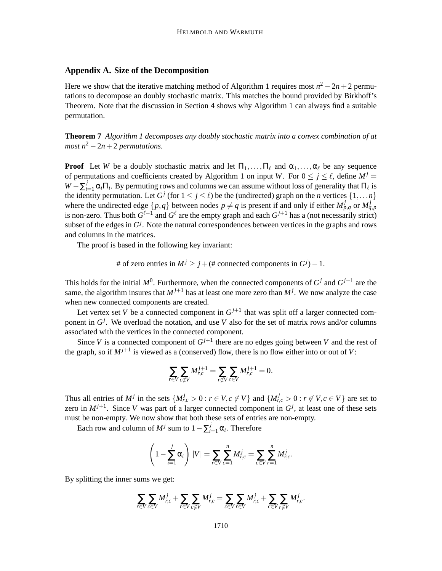# **Appendix A. Size of the Decomposition**

Here we show that the iterative matching method of Algorithm 1 requires most  $n^2 - 2n + 2$  permutations to decompose an doubly stochastic matrix. This matches the bound provided by Birkhoff's Theorem. Note that the discussion in Section 4 shows why Algorithm 1 can always find a suitable permutation.

**Theorem 7** *Algorithm 1 decomposes any doubly stochastic matrix into a convex combination of at most*  $n^2 - 2n + 2$  *permutations.* 

**Proof** Let *W* be a doubly stochastic matrix and let  $\Pi_1, \ldots, \Pi_\ell$  and  $\alpha_1, \ldots, \alpha_\ell$  be any sequence of permutations and coefficients created by Algorithm 1 on input *W*. For  $0 \le j \le \ell$ , define  $M^{j} =$  $W - \sum_{i=1}^{j} \alpha_i \Pi_i$ . By permuting rows and columns we can assume without loss of generality that  $\Pi_\ell$  is the identity permutation. Let  $G^j$  (for  $1 \le j \le \ell$ ) be the (undirected) graph on the *n* vertices  $\{1, \ldots n\}$ where the undirected edge  $\{p,q\}$  between nodes  $p \neq q$  is present if and only if either  $M_{p,q}^j$  or  $M_{q,p}^j$ is non-zero. Thus both  $G^{\ell-1}$  and  $G^{\ell}$  are the empty graph and each  $G^{j+1}$  has a (not necessarily strict) subset of the edges in  $G^j$ . Note the natural correspondences between vertices in the graphs and rows and columns in the matrices.

The proof is based in the following key invariant:

# of zero entries in  $M^j \ge j + (\#$  connected components in  $G^j$ ) – 1.

This holds for the initial  $M^0$ . Furthermore, when the connected components of  $G^j$  and  $G^{j+1}$  are the same, the algorithm insures that  $M^{j+1}$  has at least one more zero than  $M^j$ . We now analyze the case when new connected components are created.

Let vertex set *V* be a connected component in  $G^{j+1}$  that was split off a larger connected component in  $G^j$ . We overload the notation, and use *V* also for the set of matrix rows and/or columns associated with the vertices in the connected component.

Since *V* is a connected component of  $G^{j+1}$  there are no edges going between *V* and the rest of the graph, so if  $M^{j+1}$  is viewed as a (conserved) flow, there is no flow either into or out of *V*:

$$
\sum_{r \in V} \sum_{c \notin V} M_{r,c}^{j+1} = \sum_{r \notin V} \sum_{c \in V} M_{r,c}^{j+1} = 0.
$$

Thus all entries of  $M^j$  in the sets  $\{M_{r,c}^j > 0 : r \in V, c \notin V\}$  and  $\{M_{r,c}^j > 0 : r \notin V, c \in V\}$  are set to zero in  $M^{j+1}$ . Since *V* was part of a larger connected component in  $G^j$ , at least one of these sets must be non-empty. We now show that both these sets of entries are non-empty.

Each row and column of  $M^j$  sum to  $1 - \sum_{i=1}^j \alpha_i$ . Therefore

$$
\left(1 - \sum_{i=1}^{j} \alpha_i\right) |V| = \sum_{r \in V} \sum_{c=1}^{n} M_{r,c}^{j} = \sum_{c \in V} \sum_{r=1}^{n} M_{r,c}^{j}.
$$

By splitting the inner sums we get:

$$
\sum_{r \in V} \sum_{c \in V} M_{r,c}^j + \sum_{r \in V} \sum_{c \notin V} M_{r,c}^j = \sum_{c \in V} \sum_{r \in V} M_{r,c}^j + \sum_{c \in V} \sum_{r \notin V} M_{r,c}^j.
$$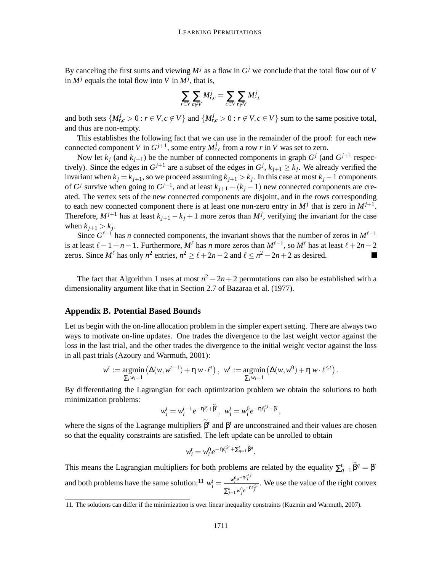By canceling the first sums and viewing  $M^j$  as a flow in  $G^j$  we conclude that the total flow out of *V* in  $M^j$  equals the total flow into *V* in  $M^j$ , that is,

$$
\sum_{r \in V} \sum_{c \notin V} M_{r,c}^j = \sum_{c \in V} \sum_{r \notin V} M_{r,c}^j
$$

and both sets  $\{M_{r,c}^j > 0 : r \in V, c \notin V\}$  and  $\{M_{r,c}^j > 0 : r \notin V, c \in V\}$  sum to the same positive total, and thus are non-empty.

This establishes the following fact that we can use in the remainder of the proof: for each new connected component *V* in  $G^{j+1}$ , some entry  $M_{r,c}^j$  from a row *r* in *V* was set to zero.

Now let  $k_j$  (and  $k_{j+1}$ ) be the number of connected components in graph  $G^j$  (and  $G^{j+1}$  respectively). Since the edges in  $G^{j+1}$  are a subset of the edges in  $G^j$ ,  $k_{j+1} \geq k_j$ . We already verified the invariant when  $k_j = k_{j+1}$ , so we proceed assuming  $k_{j+1} > k_j$ . In this case at most  $k_j - 1$  components of  $G^j$  survive when going to  $G^{j+1}$ , and at least  $k_{j+1} - (k_j - 1)$  new connected components are created. The vertex sets of the new connected components are disjoint, and in the rows corresponding to each new connected component there is at least one non-zero entry in  $M^j$  that is zero in  $M^{j+1}$ . Therefore,  $M^{j+1}$  has at least  $k_{j+1} - k_j + 1$  more zeros than  $M^j$ , verifying the invariant for the case when  $k_{j+1} > k_j$ .

Since  $G^{\ell-1}$  has *n* connected components, the invariant shows that the number of zeros in  $M^{\ell-1}$ is at least  $\ell - 1 + n - 1$ . Furthermore,  $M^{\ell}$  has *n* more zeros than  $M^{\ell-1}$ , so  $M^{\ell}$  has at least  $\ell + 2n - 2$ zeros. Since  $M^{\ell}$  has only  $n^2$  entries,  $n^2 \ge \ell + 2n - 2$  and  $\ell \le n^2 - 2n + 2$  as desired.

The fact that Algorithm 1 uses at most  $n^2 - 2n + 2$  permutations can also be established with a dimensionality argument like that in Section 2.7 of Bazaraa et al. (1977).

## **Appendix B. Potential Based Bounds**

Let us begin with the on-line allocation problem in the simpler expert setting. There are always two ways to motivate on-line updates. One trades the divergence to the last weight vector against the loss in the last trial, and the other trades the divergence to the initial weight vector against the loss in all past trials (Azoury and Warmuth, 2001):

$$
w^t := \underset{\sum_i w_i = 1}{\text{argmin}} \left( \Delta(w, w^{t-1}) + \eta w \cdot \ell^t \right), \ \ w^t := \underset{\sum_i w_i = 1}{\text{argmin}} \left( \Delta(w, w^0) + \eta w \cdot \ell^{\leq t} \right).
$$

By differentiating the Lagrangian for each optimization problem we obtain the solutions to both minimization problems:

$$
w_i^t = w_i^{t-1} e^{-\eta \ell_i^t + \tilde{\beta}^t}, \ \ w_i^t = w_i^0 e^{-\eta \ell_i^{\leq t} + \beta^t},
$$

where the signs of the Lagrange multipliers  $\beta^t$  and  $\beta^t$  are unconstrained and their values are chosen so that the equality constraints are satisfied. The left update can be unrolled to obtain

$$
w_i^t = w_i^0 e^{-\eta \ell_i^{\leq t} + \sum_{q=1}^t \widetilde{\beta}^q}.
$$

This means the Lagrangian multipliers for both problems are related by the equality  $\sum_{q=1}^{t} \hat{\beta}^q = \beta^t$ and both problems have the same solution:<sup>11</sup>  $w_i^t = \frac{w_i^0 e^{-\eta \ell_i^{0:t}}}{\Gamma_i^r}$  $\frac{w_i e^{-v_i}}{\sum_{j=1}^n w_j^0 e^{-\eta \ell_j^{\leq t}}}$ . We use the value of the right convex

<sup>11.</sup> The solutions can differ if the minimization is over linear inequality constraints (Kuzmin and Warmuth, 2007).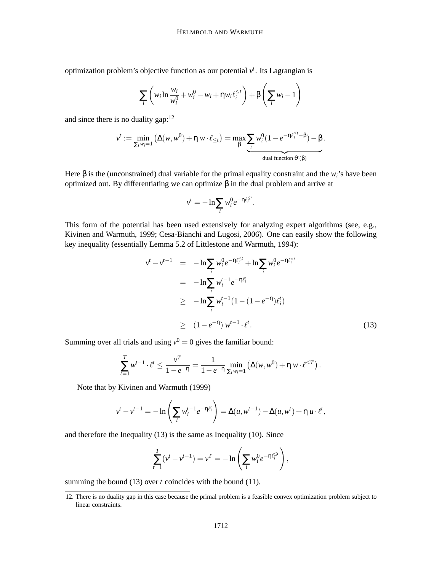optimization problem's objective function as our potential  $v<sup>t</sup>$ . Its Lagrangian is

$$
\sum_{i} \left( w_i \ln \frac{w_i}{w_i^0} + w_i^0 - w_i + \eta w_i \ell_i^{\leq t} \right) + \beta \left( \sum_i w_i - 1 \right)
$$

and since there is no duality gap: $12$ 

$$
v^t := \min_{\sum_i w_i = 1} \left( \Delta(w, w^0) + \eta w \cdot \ell_{\leq t} \right) = \max_{\beta} \underbrace{\sum_i w_i^0 (1 - e^{-\eta \ell_i^{\leq t} - \beta}) - \beta}_{\text{dual function } \theta^t(\beta)}.
$$

Here  $\beta$  is the (unconstrained) dual variable for the primal equality constraint and the  $w_i$ 's have been optimized out. By differentiating we can optimize β in the dual problem and arrive at

$$
v^t = -\ln \sum_i w_i^0 e^{-\eta \ell_i^{\leq t}}.
$$

This form of the potential has been used extensively for analyzing expert algorithms (see, e.g., Kivinen and Warmuth, 1999; Cesa-Bianchi and Lugosi, 2006). One can easily show the following key inequality (essentially Lemma 5.2 of Littlestone and Warmuth, 1994):

$$
v^{t} - v^{t-1} = -\ln \sum_{i} w_{i}^{0} e^{-\eta \ell_{i}^{  
\n
$$
= -\ln \sum_{i} w_{i}^{t-1} e^{-\eta \ell_{i}^{t}}
$$
  
\n
$$
\geq -\ln \sum_{i} w_{i}^{t-1} (1 - (1 - e^{-\eta}) \ell_{i}^{t})
$$
  
\n
$$
\geq (1 - e^{-\eta}) w^{t-1} \cdot \ell_{i}^{t}.
$$
 (13)
$$

 $\overline{ }$ 

Summing over all trials and using  $v^0 = 0$  gives the familiar bound:

$$
\sum_{t=1}^T w^{t-1} \cdot \ell^t \le \frac{v^T}{1 - e^{-\eta}} = \frac{1}{1 - e^{-\eta}} \min_{\sum_i w_i = 1} \left( \Delta(w, w^0) + \eta w \cdot \ell^{\le T} \right).
$$

Note that by Kivinen and Warmuth (1999)

$$
v^{t} - v^{t-1} = -\ln\left(\sum_{i} w_{i}^{t-1} e^{-\eta \ell_{i}^{t}}\right) = \Delta(u, w^{t-1}) - \Delta(u, w^{t}) + \eta u \cdot \ell^{t},
$$

and therefore the Inequality (13) is the same as Inequality (10). Since

$$
\sum_{t=1}^{T} (\nu^{t} - \nu^{t-1}) = \nu^{T} = -\ln\left(\sum_{i} w_{i}^{0} e^{-\eta \ell_{i}^{\leq t}}\right),
$$

summing the bound (13) over *t* coincides with the bound (11).

<sup>12.</sup> There is no duality gap in this case because the primal problem is a feasible convex optimization problem subject to linear constraints.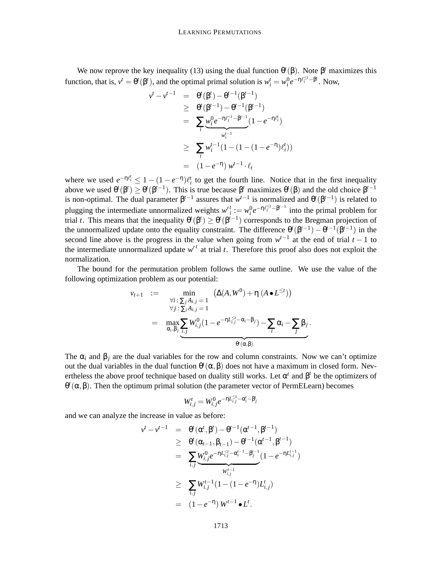We now reprove the key inequality (13) using the dual function  $\theta^t(\beta)$ . Note  $\beta^t$  maximizes this function, that is,  $v^t = \theta^t(\beta^t)$ , and the optimal primal solution is  $w_i^t = w_i^0 e^{-\eta \ell_i^{. Now,$ 

$$
v^{t} - v^{t-1} = \theta^{t}(\beta^{t}) - \theta^{t-1}(\beta^{t-1})
$$
  
\n
$$
\geq \theta^{t}(\beta^{t-1}) - \theta^{t-1}(\beta^{t-1})
$$
  
\n
$$
= \sum_{i} w_{i}^{0} e^{-\eta \ell_{i}^{c_{i}-\beta^{t-1}}}(1 - e^{-\eta \ell_{i}^{t}})
$$
  
\n
$$
\geq \sum_{i} w_{i}^{t-1}(1 - (1 - (1 - e^{-\eta})\ell_{i}^{t}))
$$
  
\n
$$
= (1 - e^{-\eta}) w^{t-1} \cdot \ell_{t}
$$

where we used  $e^{-\eta \ell_i^t} \leq 1 - (1 - e^{-\eta})\ell_i^t$  to get the fourth line. Notice that in the first inequality above we used  $\theta^t(\beta^t) \geq \theta^t(\beta^{t-1})$ . This is true because  $\beta^t$  maximizes  $\theta^t(\beta)$  and the old choice  $\beta^{t-1}$ is non-optimal. The dual parameter  $\beta^{t-1}$  assures that  $w^{t-1}$  is normalized and  $\theta^t(\beta^{t-1})$  is related to plugging the intermediate unnormalized weights  $w_i^t := w_i^0 e^{-\eta \ell_i^{\leq t} - \beta^{t-1}}$  into the primal problem for trial *t*. This means that the inequality  $\theta^t(\beta^t) \geq \theta^t(\beta^{t-1})$  corresponds to the Bregman projection of the unnormalized update onto the equality constraint. The difference  $\theta^t(\beta^{t-1}) - \theta^{t-1}(\beta^{t-1})$  in the second line above is the progress in the value when going from  $w^{t-1}$  at the end of trial  $t-1$  to the intermediate unnormalized update  $w<sup>t</sup>$  at trial  $t$ . Therefore this proof also does not exploit the normalization.

The bound for the permutation problem follows the same outline. We use the value of the following optimization problem as our potential:

$$
v_{t+1} := \min_{\substack{\forall i \,:\, \sum_j A_{i,j} = 1 \\ \forall j \,:\, \sum_i A_{i,j} = 1}} (\Delta(A, W^0) + \eta \, (A \bullet L^{\leq t}))
$$
  
= 
$$
\max_{\alpha_i, \beta_j} \underbrace{\sum_{i,j} W_{i,j}^0 (1 - e^{-\eta L_{i,j}^{\leq t} - \alpha_i - \beta_j}) - \sum_i \alpha_i - \sum_j \beta_j}_{\theta'(\alpha, \beta)}.
$$

The  $\alpha_i$  and  $\beta_i$  are the dual variables for the row and column constraints. Now we can't optimize out the dual variables in the dual function  $θ<sup>t</sup>(α, β)$  does not have a maximum in closed form. Nevertheless the above proof technique based on duality still works. Let  $\alpha^t$  and  $\beta^t$  be the optimizers of  $\theta^t$ ( $\alpha, \beta$ ). Then the optimum primal solution (the parameter vector of PermELearn) becomes

$$
W_{i,j}^t = W_{i,j}^0 e^{-\eta L_{i,j}^{\leq t} - \alpha_i^t - \beta_j^t}
$$

and we can analyze the increase in value as before:

$$
\begin{array}{rcl}\nv^{t} - v^{t-1} & = & \theta^{t}(\alpha^{t}, \beta^{t}) - \theta^{t-1}(\alpha^{t-1}, \beta^{t-1}) \\
& \geq & \theta^{t}(\alpha_{t-1}, \beta_{t-1}) - \theta^{t-1}(\alpha^{t-1}, \beta^{t-1}) \\
& = & \sum_{i,j} W_{i,j}^{0} e^{-\eta L_{i,j}^{c_{j}} - \alpha_{i}^{t-1} - \beta_{j}^{t-1}} (1 - e^{-\eta L_{i,j}^{t-1}}) \\
& \geq & \sum_{i,j} W_{i,j}^{t-1} (1 - (1 - e^{-\eta}) L_{i,j}^{t}) \\
& = & (1 - e^{-\eta}) W^{t-1} \bullet L^{t}.\n\end{array}
$$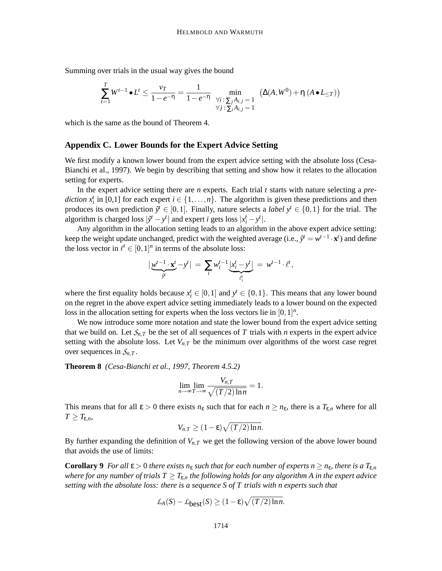Summing over trials in the usual way gives the bound

$$
\sum_{t=1}^{T} W^{t-1} \bullet L^{t} \le \frac{\nu_{T}}{1 - e^{-\eta}} = \frac{1}{1 - e^{-\eta}} \min_{\substack{\forall i \colon \sum_{j} A_{i,j} = 1 \\ \forall j \colon \sum_{i} A_{i,j} = 1}} (\Delta(A, W^{0}) + \eta (A \bullet L_{\le T}))
$$

which is the same as the bound of Theorem 4.

#### **Appendix C. Lower Bounds for the Expert Advice Setting**

We first modify a known lower bound from the expert advice setting with the absolute loss (Cesa-Bianchi et al., 1997). We begin by describing that setting and show how it relates to the allocation setting for experts.

In the expert advice setting there are *n* experts. Each trial *t* starts with nature selecting a *prediction*  $x_i^t$  in [0,1] for each expert  $i \in \{1, ..., n\}$ . The algorithm is given these predictions and then produces its own prediction  $\hat{y}^t \in [0,1]$ . Finally, nature selects a *label*  $y^t \in \{0,1\}$  for the trial. The algorithm is charged loss  $|\hat{y}^t - y^t|$  and expert *i* gets loss  $|x_i^t - y^t|$ .

Any algorithm in the allocation setting leads to an algorithm in the above expert advice setting: keep the weight update unchanged, predict with the weighted average (i.e.,  $\hat{y}^t = w^{t-1} \cdot \mathbf{x}^t$ ) and define the loss vector in  $\ell^t \in [0,1]^n$  in terms of the absolute loss:

$$
|\underbrace{w^{t-1}\cdot\mathbf{x}^t}_{\hat{y}^t}-y^t| = \sum_i w^{t-1}_i\underbrace{[x^t_i-y^t]}_{\ell^t_i} = w^{t-1}\cdot\ell^t,
$$

where the first equality holds because  $x_i^t \in [0,1]$  and  $y^t \in \{0,1\}$ . This means that any lower bound on the regret in the above expert advice setting immediately leads to a lower bound on the expected loss in the allocation setting for experts when the loss vectors lie in  $[0,1]^n$ .

We now introduce some more notation and state the lower bound from the expert advice setting that we build on. Let  $S_{n,T}$  be the set of all sequences of  $T$  trials with  $n$  experts in the expert advice setting with the absolute loss. Let  $V_{n,T}$  be the minimum over algorithms of the worst case regret over sequences in  $S_{n,T}$ .

**Theorem 8** *(Cesa-Bianchi et al., 1997, Theorem 4.5.2)*

$$
\lim_{n\to\infty}\lim_{T\to\infty}\frac{V_{n,T}}{\sqrt{(T/2)\ln n}}=1.
$$

This means that for all  $\varepsilon > 0$  there exists  $n_{\varepsilon}$  such that for each  $n \ge n_{\varepsilon}$ , there is a  $T_{\varepsilon,n}$  where for all  $T \geq T_{\varepsilon,n}$ ,

$$
V_{n,T} \ge (1-\varepsilon)\sqrt{(T/2)\ln n}.
$$

By further expanding the definition of  $V_{n,T}$  we get the following version of the above lower bound that avoids the use of limits:

**Corollary 9** *For all*  $\epsilon > 0$  *there exists n<sub>ε</sub> such that for each number of experts n*  $\geq n_{\epsilon}$ *, there is a*  $T_{\epsilon,n}$ *where for any number of trials*  $T \geq T_{\varepsilon,n}$  *the following holds for any algorithm A in the expert advice setting with the absolute loss: there is a sequence S of T trials with n experts such that*

$$
\mathcal{L}_A(S) - \mathcal{L}_{\text{best}}(S) \ge (1 - \varepsilon) \sqrt{(T/2) \ln n}.
$$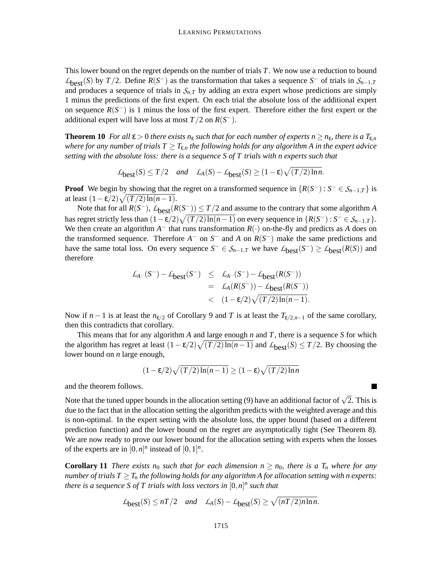This lower bound on the regret depends on the number of trials *T*. We now use a reduction to bound  $L_{best}(S)$  by *T*/2. Define  $R(S^-)$  as the transformation that takes a sequence *S*<sup>−</sup> of trials in  $S_{n-1,T}$ and produces a sequence of trials in  $S_{n,T}$  by adding an extra expert whose predictions are simply 1 minus the predictions of the first expert. On each trial the absolute loss of the additional expert on sequence  $R(S^-)$  is 1 minus the loss of the first expert. Therefore either the first expert or the additional expert will have loss at most  $T/2$  on  $R(S^-)$ .

**Theorem 10** *For all*  $\epsilon > 0$  *there exists*  $n_{\epsilon}$  *such that for each number of experts*  $n \geq n_{\epsilon}$ *, there is a*  $T_{\epsilon,n}$ *where for any number of trials*  $T \geq T_{\varepsilon,n}$  *the following holds for any algorithm A in the expert advice setting with the absolute loss: there is a sequence S of T trials with n experts such that*

$$
\mathcal{L}_{\text{best}}(S) \le T/2
$$
 and  $\mathcal{L}_A(S) - \mathcal{L}_{\text{best}}(S) \ge (1 - \varepsilon) \sqrt{(T/2) \ln n}$ .

**Proof** We begin by showing that the regret on a transformed sequence in  $\{R(S^-): S^- \in S_{n-1,T}\}$  is at least  $(1 - \varepsilon/2)\sqrt{(T/2)\ln(n-1)}$ .

Note that for all  $R(S^-)$ ,  $\mathcal{L}_{best}(R(S^-)) \leq T/2$  and assume to the contrary that some algorithm *A* has regret strictly less than  $(1 - \varepsilon/2)\sqrt{(T/2)\ln(n-1)}$  on every sequence in  $\{R(S^-) : S^- \in S_{n-1,T}\}.$ We then create an algorithm  $A^-$  that runs transformation  $R(\cdot)$  on-the-fly and predicts as  $A$  does on the transformed sequence. Therefore  $A^-$  on  $S^-$  and  $A$  on  $R(S^-)$  make the same predictions and have the same total loss. On every sequence  $S^- \in S_{n-1,T}$  we have  $\mathcal{L}_{best}(S^-) \geq \mathcal{L}_{best}(R(S))$  and therefore

$$
\mathcal{L}_{A^-}(S^-) - \mathcal{L}_{\text{best}}(S^-) \leq \mathcal{L}_{A^-}(S^-) - \mathcal{L}_{\text{best}}(R(S^-))
$$
  
= 
$$
\mathcal{L}_A(R(S^-)) - \mathcal{L}_{\text{best}}(R(S^-))
$$
  
< 
$$
\langle 1 - \varepsilon/2 \rangle \sqrt{(T/2)\ln(n-1)}.
$$

Now if  $n-1$  is at least the  $n_{\varepsilon/2}$  of Corollary 9 and *T* is at least the  $T_{\varepsilon/2,n-1}$  of the same corollary, then this contradicts that corollary.

This means that for any algorithm *A* and large enough *n* and *T*, there is a sequence *S* for which the algorithm has regret at least  $(1 - \varepsilon/2)\sqrt{(T/2)\ln(n-1)}$  and  $L_{best}(S) \le T/2$ . By choosing the lower bound on *n* large enough,

$$
(1 - \varepsilon/2)\sqrt{(T/2)\ln(n-1)} \ge (1 - \varepsilon)\sqrt{(T/2)\ln n}
$$

and the theorem follows.

Note that the tuned upper bounds in the allocation setting (9) have an additional factor of  $\sqrt{2}$ . This is due to the fact that in the allocation setting the algorithm predicts with the weighted average and this is non-optimal. In the expert setting with the absolute loss, the upper bound (based on a different prediction function) and the lower bound on the regret are asymptotically tight (See Theorem 8). We are now ready to prove our lower bound for the allocation setting with experts when the losses of the experts are in  $[0,n]^n$  instead of  $[0,1]^n$ .

**Corollary 11** *There exists*  $n_0$  *such that for each dimension*  $n \geq n_0$ *, there is a*  $T_n$  *where for any number of trials*  $T \geq T_n$  *the following holds for any algorithm A for allocation setting with n experts: there is a sequence S of T trials with loss vectors in*  $[0,n]^n$  *such that* 

$$
\mathcal{L}_{\text{best}}(S) \le nT/2 \quad and \quad \mathcal{L}_A(S) - \mathcal{L}_{\text{best}}(S) \ge \sqrt{(nT/2)n\ln n}.
$$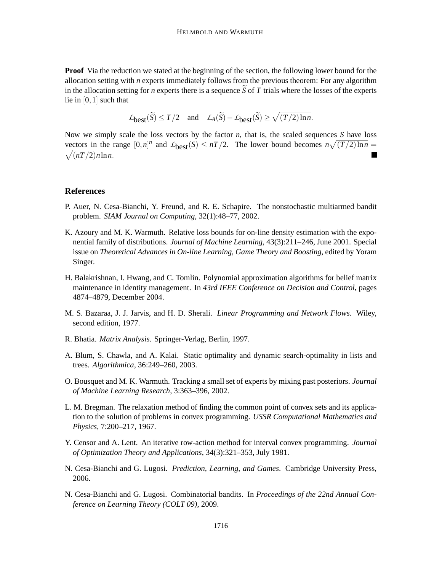**Proof** Via the reduction we stated at the beginning of the section, the following lower bound for the allocation setting with *n* experts immediately follows from the previous theorem: For any algorithm in the allocation setting for *n* experts there is a sequence *S* of *T* trials where the losses of the experts lie in [0,1] such that

$$
\mathcal{L}_{\text{best}}(\widetilde{S}) \le T/2 \quad \text{and} \quad \mathcal{L}_{A}(\widetilde{S}) - \mathcal{L}_{\text{best}}(\widetilde{S}) \ge \sqrt{(T/2)\ln n}.
$$

Now we simply scale the loss vectors by the factor *n*, that is, the scaled sequences *S* have loss vectors in the range  $[0,n]^n$  and  $L_{best}(S) \leq nT/2$ . The lower bound becomes  $n\sqrt{(T/2)\ln n} =$  $\sqrt{(nT/2)n \ln n}$ .

# **References**

- P. Auer, N. Cesa-Bianchi, Y. Freund, and R. E. Schapire. The nonstochastic multiarmed bandit problem. *SIAM Journal on Computing*, 32(1):48–77, 2002.
- K. Azoury and M. K. Warmuth. Relative loss bounds for on-line density estimation with the exponential family of distributions. *Journal of Machine Learning*, 43(3):211–246, June 2001. Special issue on *Theoretical Advances in On-line Learning, Game Theory and Boosting*, edited by Yoram Singer.
- H. Balakrishnan, I. Hwang, and C. Tomlin. Polynomial approximation algorithms for belief matrix maintenance in identity management. In *43rd IEEE Conference on Decision and Control*, pages 4874–4879, December 2004.
- M. S. Bazaraa, J. J. Jarvis, and H. D. Sherali. *Linear Programming and Network Flows*. Wiley, second edition, 1977.
- R. Bhatia. *Matrix Analysis*. Springer-Verlag, Berlin, 1997.
- A. Blum, S. Chawla, and A. Kalai. Static optimality and dynamic search-optimality in lists and trees. *Algorithmica*, 36:249–260, 2003.
- O. Bousquet and M. K. Warmuth. Tracking a small set of experts by mixing past posteriors. *Journal of Machine Learning Research*, 3:363–396, 2002.
- L. M. Bregman. The relaxation method of finding the common point of convex sets and its application to the solution of problems in convex programming. *USSR Computational Mathematics and Physics*, 7:200–217, 1967.
- Y. Censor and A. Lent. An iterative row-action method for interval convex programming. *Journal of Optimization Theory and Applications*, 34(3):321–353, July 1981.
- N. Cesa-Bianchi and G. Lugosi. *Prediction, Learning, and Games*. Cambridge University Press, 2006.
- N. Cesa-Bianchi and G. Lugosi. Combinatorial bandits. In *Proceedings of the 22nd Annual Conference on Learning Theory (COLT 09)*, 2009.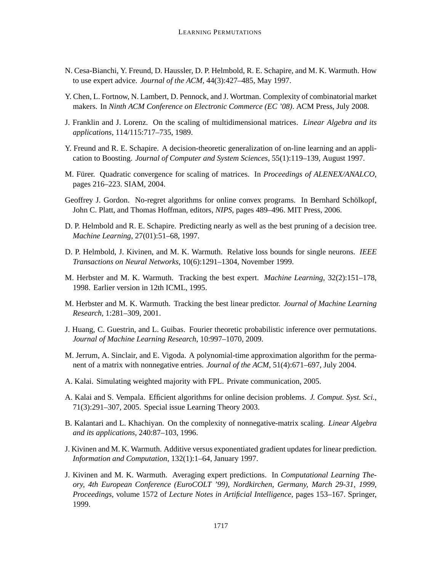- N. Cesa-Bianchi, Y. Freund, D. Haussler, D. P. Helmbold, R. E. Schapire, and M. K. Warmuth. How to use expert advice. *Journal of the ACM*, 44(3):427–485, May 1997.
- Y. Chen, L. Fortnow, N. Lambert, D. Pennock, and J. Wortman. Complexity of combinatorial market makers. In *Ninth ACM Conference on Electronic Commerce (EC '08)*. ACM Press, July 2008.
- J. Franklin and J. Lorenz. On the scaling of multidimensional matrices. *Linear Algebra and its applications*, 114/115:717–735, 1989.
- Y. Freund and R. E. Schapire. A decision-theoretic generalization of on-line learning and an application to Boosting. *Journal of Computer and System Sciences*, 55(1):119–139, August 1997.
- M. Fürer. Quadratic convergence for scaling of matrices. In *Proceedings of ALENEX/ANALCO*, pages 216–223. SIAM, 2004.
- Geoffrey J. Gordon. No-regret algorithms for online convex programs. In Bernhard Schölkopf, John C. Platt, and Thomas Hoffman, editors, *NIPS*, pages 489–496. MIT Press, 2006.
- D. P. Helmbold and R. E. Schapire. Predicting nearly as well as the best pruning of a decision tree. *Machine Learning*, 27(01):51–68, 1997.
- D. P. Helmbold, J. Kivinen, and M. K. Warmuth. Relative loss bounds for single neurons. *IEEE Transactions on Neural Networks*, 10(6):1291–1304, November 1999.
- M. Herbster and M. K. Warmuth. Tracking the best expert. *Machine Learning*, 32(2):151–178, 1998. Earlier version in 12th ICML, 1995.
- M. Herbster and M. K. Warmuth. Tracking the best linear predictor. *Journal of Machine Learning Research*, 1:281–309, 2001.
- J. Huang, C. Guestrin, and L. Guibas. Fourier theoretic probabilistic inference over permutations. *Journal of Machine Learning Research*, 10:997–1070, 2009.
- M. Jerrum, A. Sinclair, and E. Vigoda. A polynomial-time approximation algorithm for the permanent of a matrix with nonnegative entries. *Journal of the ACM*, 51(4):671–697, July 2004.
- A. Kalai. Simulating weighted majority with FPL. Private communication, 2005.
- A. Kalai and S. Vempala. Efficient algorithms for online decision problems. *J. Comput. Syst. Sci.*, 71(3):291–307, 2005. Special issue Learning Theory 2003.
- B. Kalantari and L. Khachiyan. On the complexity of nonnegative-matrix scaling. *Linear Algebra and its applications*, 240:87–103, 1996.
- J. Kivinen and M. K. Warmuth. Additive versus exponentiated gradient updates for linear prediction. *Information and Computation*, 132(1):1–64, January 1997.
- J. Kivinen and M. K. Warmuth. Averaging expert predictions. In *Computational Learning Theory, 4th European Conference (EuroCOLT '99), Nordkirchen, Germany, March 29-31, 1999, Proceedings*, volume 1572 of *Lecture Notes in Artificial Intelligence*, pages 153–167. Springer, 1999.